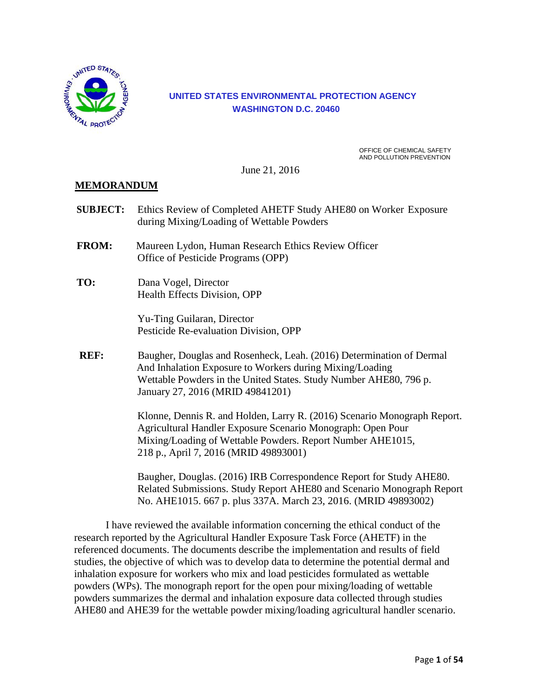

#### **UNITED STATES ENVIRONMENTAL PROTECTION AGENCY WASHINGTON D.C. 20460**

OFFICE OF CHEMICAL SAFETY AND POLLUTION PREVENTION

June 21, 2016

#### **MEMORANDUM**

**SUBJECT:** Ethics Review of Completed AHETF Study AHE80 on Worker Exposure during Mixing/Loading of Wettable Powders **FROM:** Maureen Lydon, Human Research Ethics Review Officer Office of Pesticide Programs (OPP) **TO:** Dana Vogel, Director Health Effects Division, OPP Yu-Ting Guilaran, Director Pesticide Re-evaluation Division, OPP **REF:** Baugher, Douglas and Rosenheck, Leah. (2016) Determination of Dermal And Inhalation Exposure to Workers during Mixing/Loading Wettable Powders in the United States. Study Number AHE80, 796 p. January 27, 2016 (MRID 49841201) Klonne, Dennis R. and Holden, Larry R. (2016) Scenario Monograph Report. Agricultural Handler Exposure Scenario Monograph: Open Pour Mixing/Loading of Wettable Powders. Report Number AHE1015, 218 p., April 7, 2016 (MRID 49893001) Baugher, Douglas. (2016) IRB Correspondence Report for Study AHE80. Related Submissions. Study Report AHE80 and Scenario Monograph Report No. AHE1015. 667 p. plus 337A. March 23, 2016. (MRID 49893002)

I have reviewed the available information concerning the ethical conduct of the research reported by the Agricultural Handler Exposure Task Force (AHETF) in the referenced documents. The documents describe the implementation and results of field studies, the objective of which was to develop data to determine the potential dermal and inhalation exposure for workers who mix and load pesticides formulated as wettable powders (WPs). The monograph report for the open pour mixing/loading of wettable powders summarizes the dermal and inhalation exposure data collected through studies AHE80 and AHE39 for the wettable powder mixing/loading agricultural handler scenario.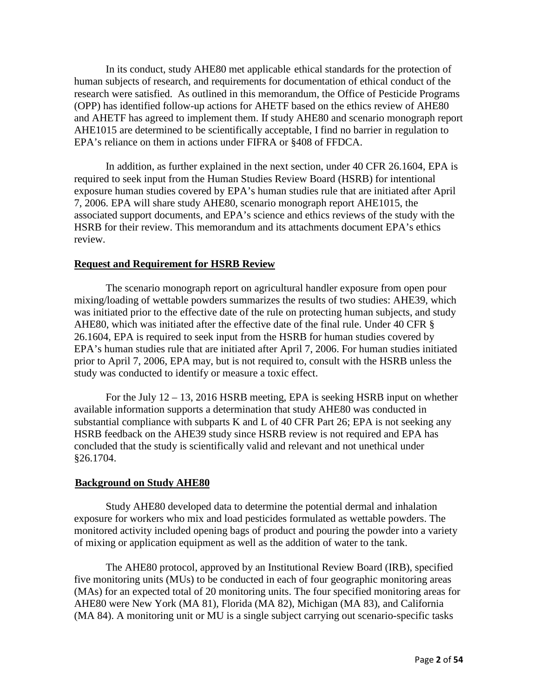In its conduct, study AHE80 met applicable ethical standards for the protection of human subjects of research, and requirements for documentation of ethical conduct of the research were satisfied. As outlined in this memorandum, the Office of Pesticide Programs (OPP) has identified follow-up actions for AHETF based on the ethics review of AHE80 and AHETF has agreed to implement them. If study AHE80 and scenario monograph report AHE1015 are determined to be scientifically acceptable, I find no barrier in regulation to EPA's reliance on them in actions under FIFRA or §408 of FFDCA.

In addition, as further explained in the next section, under 40 CFR 26.1604, EPA is required to seek input from the Human Studies Review Board (HSRB) for intentional exposure human studies covered by EPA's human studies rule that are initiated after April 7, 2006. EPA will share study AHE80, scenario monograph report AHE1015, the associated support documents, and EPA's science and ethics reviews of the study with the HSRB for their review. This memorandum and its attachments document EPA's ethics review.

#### **Request and Requirement for HSRB Review**

The scenario monograph report on agricultural handler exposure from open pour mixing/loading of wettable powders summarizes the results of two studies: AHE39, which was initiated prior to the effective date of the rule on protecting human subjects, and study AHE80, which was initiated after the effective date of the final rule. Under 40 CFR § 26.1604, EPA is required to seek input from the HSRB for human studies covered by EPA's human studies rule that are initiated after April 7, 2006. For human studies initiated prior to April 7, 2006, EPA may, but is not required to, consult with the HSRB unless the study was conducted to identify or measure a toxic effect.

For the July 12 – 13, 2016 HSRB meeting, EPA is seeking HSRB input on whether available information supports a determination that study AHE80 was conducted in substantial compliance with subparts K and L of 40 CFR Part 26; EPA is not seeking any HSRB feedback on the AHE39 study since HSRB review is not required and EPA has concluded that the study is scientifically valid and relevant and not unethical under §26.1704.

#### **Background on Study AHE80**

Study AHE80 developed data to determine the potential dermal and inhalation exposure for workers who mix and load pesticides formulated as wettable powders. The monitored activity included opening bags of product and pouring the powder into a variety of mixing or application equipment as well as the addition of water to the tank.

The AHE80 protocol, approved by an Institutional Review Board (IRB), specified five monitoring units (MUs) to be conducted in each of four geographic monitoring areas (MAs) for an expected total of 20 monitoring units. The four specified monitoring areas for AHE80 were New York (MA 81), Florida (MA 82), Michigan (MA 83), and California (MA 84). A monitoring unit or MU is a single subject carrying out scenario-specific tasks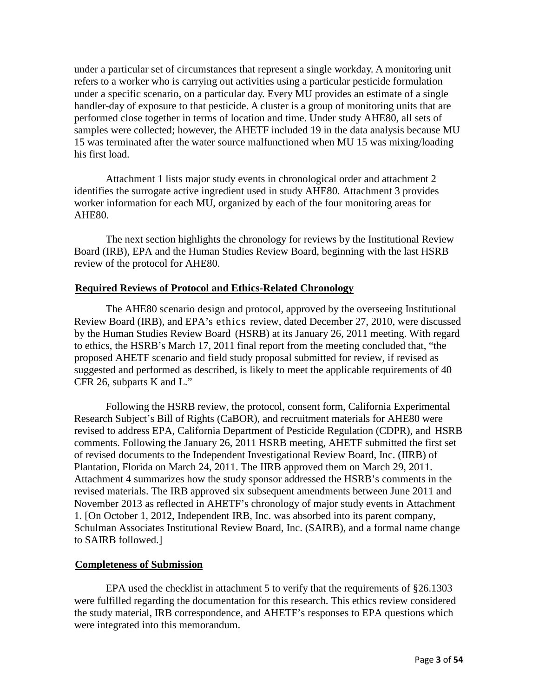under a particular set of circumstances that represent a single workday. A monitoring unit refers to a worker who is carrying out activities using a particular pesticide formulation under a specific scenario, on a particular day. Every MU provides an estimate of a single handler-day of exposure to that pesticide. A cluster is a group of monitoring units that are performed close together in terms of location and time. Under study AHE80, all sets of samples were collected; however, the AHETF included 19 in the data analysis because MU 15 was terminated after the water source malfunctioned when MU 15 was mixing/loading his first load.

Attachment 1 lists major study events in chronological order and attachment 2 identifies the surrogate active ingredient used in study AHE80. Attachment 3 provides worker information for each MU, organized by each of the four monitoring areas for AHE80.

The next section highlights the chronology for reviews by the Institutional Review Board (IRB), EPA and the Human Studies Review Board, beginning with the last HSRB review of the protocol for AHE80.

#### **Required Reviews of Protocol and Ethics-Related Chronology**

The AHE80 scenario design and protocol, approved by the overseeing Institutional Review Board (IRB), and EPA's ethics review, dated December 27, 2010, were discussed by the Human Studies Review Board (HSRB) at its January 26, 2011 meeting. With regard to ethics, the HSRB's March 17, 2011 final report from the meeting concluded that, "the proposed AHETF scenario and field study proposal submitted for review, if revised as suggested and performed as described, is likely to meet the applicable requirements of 40 CFR 26, subparts K and L."

Following the HSRB review, the protocol, consent form, California Experimental Research Subject's Bill of Rights (CaBOR), and recruitment materials for AHE80 were revised to address EPA, California Department of Pesticide Regulation (CDPR), and HSRB comments. Following the January 26, 2011 HSRB meeting, AHETF submitted the first set of revised documents to the Independent Investigational Review Board, Inc. (IIRB) of Plantation, Florida on March 24, 2011. The IIRB approved them on March 29, 2011. Attachment 4 summarizes how the study sponsor addressed the HSRB's comments in the revised materials. The IRB approved six subsequent amendments between June 2011 and November 2013 as reflected in AHETF's chronology of major study events in Attachment 1. [On October 1, 2012, Independent IRB, Inc. was absorbed into its parent company, Schulman Associates Institutional Review Board, Inc. (SAIRB), and a formal name change to SAIRB followed.]

#### **Completeness of Submission**

EPA used the checklist in attachment 5 to verify that the requirements of §26.1303 were fulfilled regarding the documentation for this research. This ethics review considered the study material, IRB correspondence, and AHETF's responses to EPA questions which were integrated into this memorandum.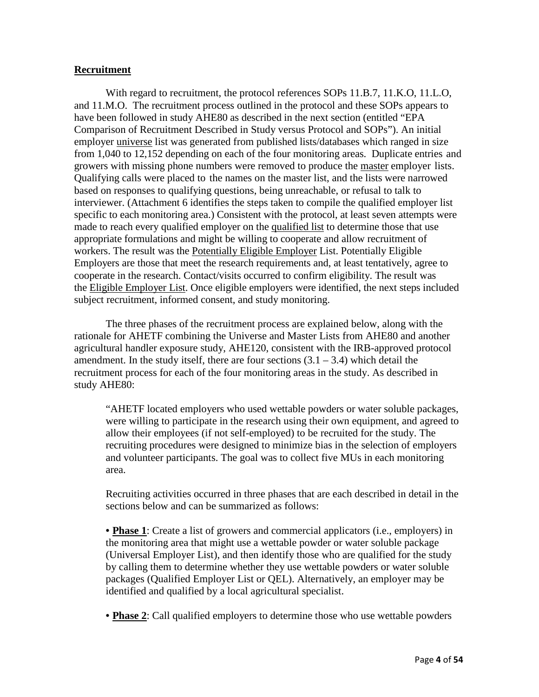#### **Recruitment**

With regard to recruitment, the protocol references SOPs 11.B.7, 11.K.O, 11.L.O, and 11.M.O. The recruitment process outlined in the protocol and these SOPs appears to have been followed in study AHE80 as described in the next section (entitled "EPA Comparison of Recruitment Described in Study versus Protocol and SOPs"). An initial employer universe list was generated from published lists/databases which ranged in size from 1,040 to 12,152 depending on each of the four monitoring areas. Duplicate entries and growers with missing phone numbers were removed to produce the master employer lists. Qualifying calls were placed to the names on the master list, and the lists were narrowed based on responses to qualifying questions, being unreachable, or refusal to talk to interviewer. (Attachment 6 identifies the steps taken to compile the qualified employer list specific to each monitoring area.) Consistent with the protocol, at least seven attempts were made to reach every qualified employer on the qualified list to determine those that use appropriate formulations and might be willing to cooperate and allow recruitment of workers. The result was the Potentially Eligible Employer List. Potentially Eligible Employers are those that meet the research requirements and, at least tentatively, agree to cooperate in the research. Contact/visits occurred to confirm eligibility. The result was the Eligible Employer List. Once eligible employers were identified, the next steps included subject recruitment, informed consent, and study monitoring.

The three phases of the recruitment process are explained below, along with the rationale for AHETF combining the Universe and Master Lists from AHE80 and another agricultural handler exposure study, AHE120, consistent with the IRB-approved protocol amendment. In the study itself, there are four sections  $(3.1 - 3.4)$  which detail the recruitment process for each of the four monitoring areas in the study. As described in study AHE80:

"AHETF located employers who used wettable powders or water soluble packages, were willing to participate in the research using their own equipment, and agreed to allow their employees (if not self-employed) to be recruited for the study. The recruiting procedures were designed to minimize bias in the selection of employers and volunteer participants. The goal was to collect five MUs in each monitoring area.

Recruiting activities occurred in three phases that are each described in detail in the sections below and can be summarized as follows:

• **Phase 1**: Create a list of growers and commercial applicators (i.e., employers) in the monitoring area that might use a wettable powder or water soluble package (Universal Employer List), and then identify those who are qualified for the study by calling them to determine whether they use wettable powders or water soluble packages (Qualified Employer List or QEL). Alternatively, an employer may be identified and qualified by a local agricultural specialist.

• **Phase 2**: Call qualified employers to determine those who use wettable powders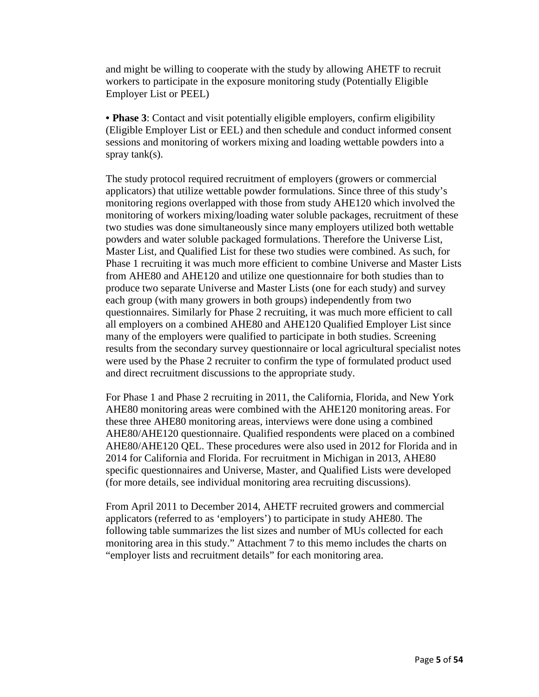and might be willing to cooperate with the study by allowing AHETF to recruit workers to participate in the exposure monitoring study (Potentially Eligible Employer List or PEEL)

• **Phase 3**: Contact and visit potentially eligible employers, confirm eligibility (Eligible Employer List or EEL) and then schedule and conduct informed consent sessions and monitoring of workers mixing and loading wettable powders into a spray tank(s).

The study protocol required recruitment of employers (growers or commercial applicators) that utilize wettable powder formulations. Since three of this study's monitoring regions overlapped with those from study AHE120 which involved the monitoring of workers mixing/loading water soluble packages, recruitment of these two studies was done simultaneously since many employers utilized both wettable powders and water soluble packaged formulations. Therefore the Universe List, Master List, and Qualified List for these two studies were combined. As such, for Phase 1 recruiting it was much more efficient to combine Universe and Master Lists from AHE80 and AHE120 and utilize one questionnaire for both studies than to produce two separate Universe and Master Lists (one for each study) and survey each group (with many growers in both groups) independently from two questionnaires. Similarly for Phase 2 recruiting, it was much more efficient to call all employers on a combined AHE80 and AHE120 Qualified Employer List since many of the employers were qualified to participate in both studies. Screening results from the secondary survey questionnaire or local agricultural specialist notes were used by the Phase 2 recruiter to confirm the type of formulated product used and direct recruitment discussions to the appropriate study.

For Phase 1 and Phase 2 recruiting in 2011, the California, Florida, and New York AHE80 monitoring areas were combined with the AHE120 monitoring areas. For these three AHE80 monitoring areas, interviews were done using a combined AHE80/AHE120 questionnaire. Qualified respondents were placed on a combined AHE80/AHE120 QEL. These procedures were also used in 2012 for Florida and in 2014 for California and Florida. For recruitment in Michigan in 2013, AHE80 specific questionnaires and Universe, Master, and Qualified Lists were developed (for more details, see individual monitoring area recruiting discussions).

From April 2011 to December 2014, AHETF recruited growers and commercial applicators (referred to as 'employers') to participate in study AHE80. The following table summarizes the list sizes and number of MUs collected for each monitoring area in this study." Attachment 7 to this memo includes the charts on "employer lists and recruitment details" for each monitoring area.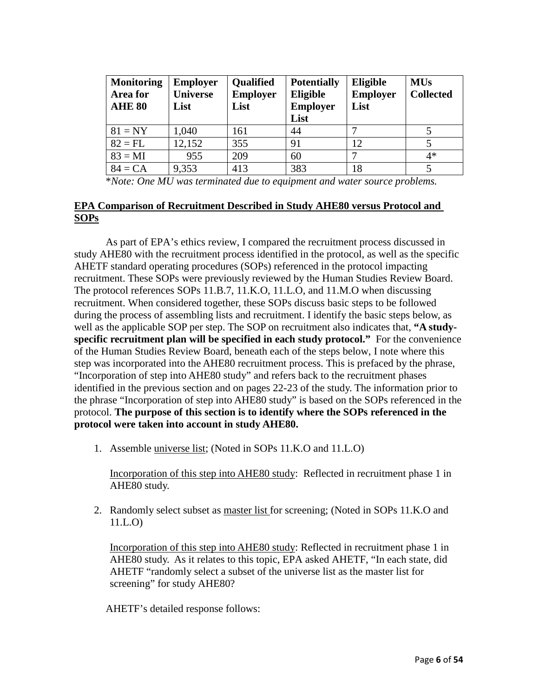| <b>Monitoring</b><br>Area for<br><b>AHE 80</b> | <b>Employer</b><br><b>Universe</b><br>List | <b>Qualified</b><br><b>Employer</b><br>List | <b>Potentially</b><br><b>Eligible</b><br><b>Employer</b><br>List | Eligible<br><b>Employer</b><br>List | <b>MUs</b><br><b>Collected</b> |
|------------------------------------------------|--------------------------------------------|---------------------------------------------|------------------------------------------------------------------|-------------------------------------|--------------------------------|
| $81 = NY$                                      | 1,040                                      | 161                                         | 44                                                               |                                     |                                |
| $82 = FL$                                      | 12,152                                     | 355                                         | 91                                                               | 12                                  |                                |
| $83 = MI$                                      | 955                                        | 209                                         | 60                                                               |                                     | $4*$                           |
| $84 = CA$                                      | 9,353                                      | 413                                         | 383                                                              | 18                                  |                                |

\**Note: One MU was terminated due to equipment and water source problems.*

#### **EPA Comparison of Recruitment Described in Study AHE80 versus Protocol and SOPs**

As part of EPA's ethics review, I compared the recruitment process discussed in study AHE80 with the recruitment process identified in the protocol, as well as the specific AHETF standard operating procedures (SOPs) referenced in the protocol impacting recruitment. These SOPs were previously reviewed by the Human Studies Review Board. The protocol references SOPs 11.B.7, 11.K.O, 11.L.O, and 11.M.O when discussing recruitment. When considered together, these SOPs discuss basic steps to be followed during the process of assembling lists and recruitment. I identify the basic steps below, as well as the applicable SOP per step. The SOP on recruitment also indicates that, **"A studyspecific recruitment plan will be specified in each study protocol."** For the convenience of the Human Studies Review Board, beneath each of the steps below, I note where this step was incorporated into the AHE80 recruitment process. This is prefaced by the phrase, "Incorporation of step into AHE80 study" and refers back to the recruitment phases identified in the previous section and on pages 22-23 of the study. The information prior to the phrase "Incorporation of step into AHE80 study" is based on the SOPs referenced in the protocol. **The purpose of this section is to identify where the SOPs referenced in the protocol were taken into account in study AHE80.**

1. Assemble universe list; (Noted in SOPs 11.K.O and 11.L.O)

Incorporation of this step into AHE80 study: Reflected in recruitment phase 1 in AHE80 study.

2. Randomly select subset as master list for screening; (Noted in SOPs 11.K.O and 11.L.O)

Incorporation of this step into AHE80 study: Reflected in recruitment phase 1 in AHE80 study. As it relates to this topic, EPA asked AHETF, "In each state, did AHETF "randomly select a subset of the universe list as the master list for screening" for study AHE80?

AHETF's detailed response follows: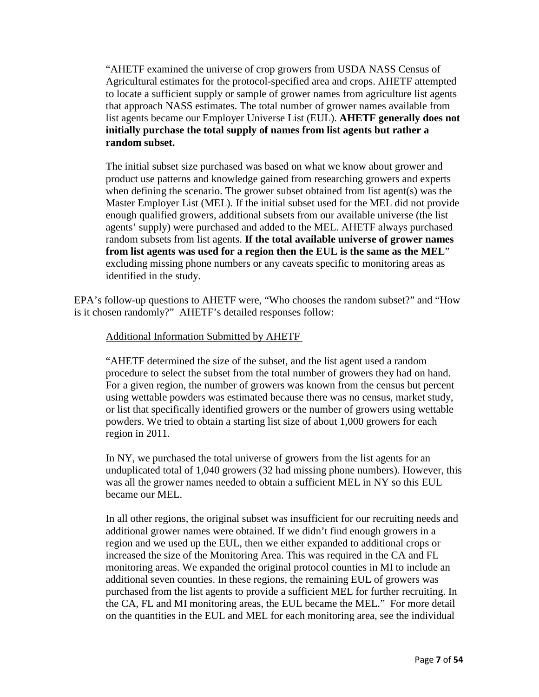"AHETF examined the universe of crop growers from USDA NASS Census of Agricultural estimates for the protocol-specified area and crops. AHETF attempted to locate a sufficient supply or sample of grower names from agriculture list agents that approach NASS estimates. The total number of grower names available from list agents became our Employer Universe List (EUL). **AHETF generally does not initially purchase the total supply of names from list agents but rather a random subset.** 

The initial subset size purchased was based on what we know about grower and product use patterns and knowledge gained from researching growers and experts when defining the scenario. The grower subset obtained from list agent(s) was the Master Employer List (MEL). If the initial subset used for the MEL did not provide enough qualified growers, additional subsets from our available universe (the list agents' supply) were purchased and added to the MEL. AHETF always purchased random subsets from list agents. **If the total available universe of grower names from list agents was used for a region then the EUL is the same as the MEL**" excluding missing phone numbers or any caveats specific to monitoring areas as identified in the study.

EPA's follow-up questions to AHETF were, "Who chooses the random subset?" and "How is it chosen randomly?" AHETF's detailed responses follow:

#### Additional Information Submitted by AHETF

"AHETF determined the size of the subset, and the list agent used a random procedure to select the subset from the total number of growers they had on hand. For a given region, the number of growers was known from the census but percent using wettable powders was estimated because there was no census, market study, or list that specifically identified growers or the number of growers using wettable powders. We tried to obtain a starting list size of about 1,000 growers for each region in 2011.

In NY, we purchased the total universe of growers from the list agents for an unduplicated total of 1,040 growers (32 had missing phone numbers). However, this was all the grower names needed to obtain a sufficient MEL in NY so this EUL became our MEL.

In all other regions, the original subset was insufficient for our recruiting needs and additional grower names were obtained. If we didn't find enough growers in a region and we used up the EUL, then we either expanded to additional crops or increased the size of the Monitoring Area. This was required in the CA and FL monitoring areas. We expanded the original protocol counties in MI to include an additional seven counties. In these regions, the remaining EUL of growers was purchased from the list agents to provide a sufficient MEL for further recruiting. In the CA, FL and MI monitoring areas, the EUL became the MEL." For more detail on the quantities in the EUL and MEL for each monitoring area, see the individual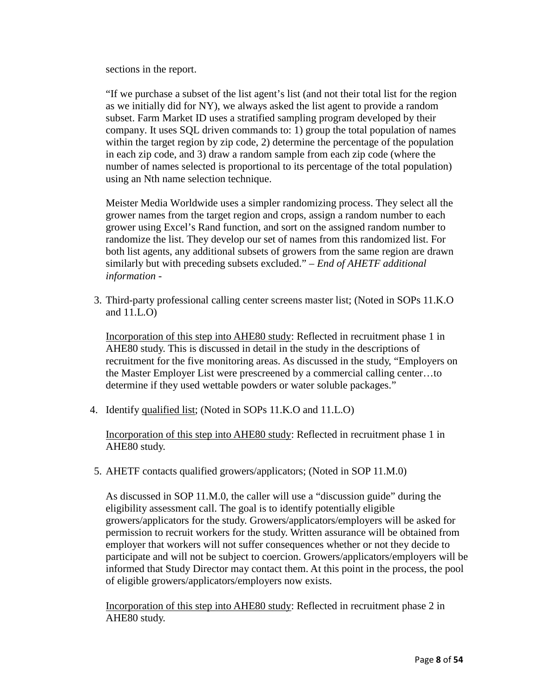sections in the report.

"If we purchase a subset of the list agent's list (and not their total list for the region as we initially did for NY), we always asked the list agent to provide a random subset. Farm Market ID uses a stratified sampling program developed by their company. It uses SQL driven commands to: 1) group the total population of names within the target region by zip code, 2) determine the percentage of the population in each zip code, and 3) draw a random sample from each zip code (where the number of names selected is proportional to its percentage of the total population) using an Nth name selection technique.

Meister Media Worldwide uses a simpler randomizing process. They select all the grower names from the target region and crops, assign a random number to each grower using Excel's Rand function, and sort on the assigned random number to randomize the list. They develop our set of names from this randomized list. For both list agents, any additional subsets of growers from the same region are drawn similarly but with preceding subsets excluded." – *End of AHETF additional information -*

3. Third-party professional calling center screens master list; (Noted in SOPs 11.K.O and 11.L.O)

Incorporation of this step into AHE80 study: Reflected in recruitment phase 1 in AHE80 study. This is discussed in detail in the study in the descriptions of recruitment for the five monitoring areas. As discussed in the study, "Employers on the Master Employer List were prescreened by a commercial calling center…to determine if they used wettable powders or water soluble packages."

4. Identify qualified list; (Noted in SOPs 11.K.O and 11.L.O)

Incorporation of this step into AHE80 study: Reflected in recruitment phase 1 in AHE80 study.

5. AHETF contacts qualified growers/applicators; (Noted in SOP 11.M.0)

As discussed in SOP 11.M.0, the caller will use a "discussion guide" during the eligibility assessment call. The goal is to identify potentially eligible growers/applicators for the study. Growers/applicators/employers will be asked for permission to recruit workers for the study. Written assurance will be obtained from employer that workers will not suffer consequences whether or not they decide to participate and will not be subject to coercion. Growers/applicators/employers will be informed that Study Director may contact them. At this point in the process, the pool of eligible growers/applicators/employers now exists.

Incorporation of this step into AHE80 study: Reflected in recruitment phase 2 in AHE80 study.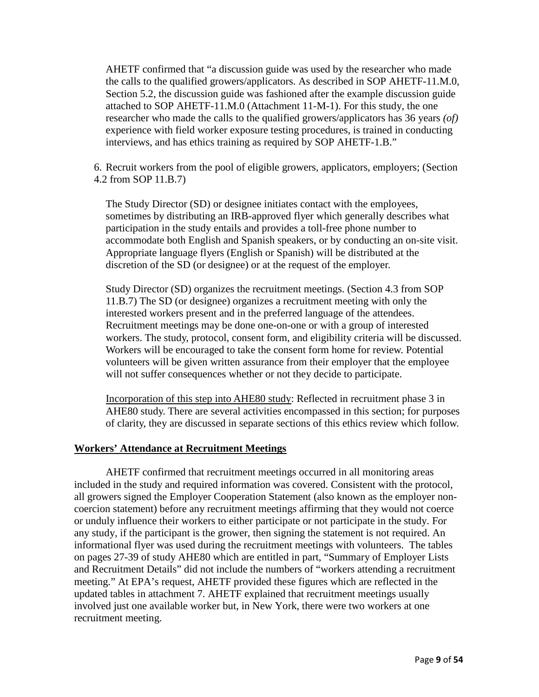AHETF confirmed that "a discussion guide was used by the researcher who made the calls to the qualified growers/applicators. As described in SOP AHETF-11.M.0, Section 5.2, the discussion guide was fashioned after the example discussion guide attached to SOP AHETF-11.M.0 (Attachment 11-M-1). For this study, the one researcher who made the calls to the qualified growers/applicators has 36 years *(of)* experience with field worker exposure testing procedures, is trained in conducting interviews, and has ethics training as required by SOP AHETF-1.B."

6. Recruit workers from the pool of eligible growers, applicators, employers; (Section 4.2 from SOP 11.B.7)

The Study Director (SD) or designee initiates contact with the employees, sometimes by distributing an IRB-approved flyer which generally describes what participation in the study entails and provides a toll-free phone number to accommodate both English and Spanish speakers, or by conducting an on-site visit. Appropriate language flyers (English or Spanish) will be distributed at the discretion of the SD (or designee) or at the request of the employer.

Study Director (SD) organizes the recruitment meetings. (Section 4.3 from SOP 11.B.7) The SD (or designee) organizes a recruitment meeting with only the interested workers present and in the preferred language of the attendees. Recruitment meetings may be done one-on-one or with a group of interested workers. The study, protocol, consent form, and eligibility criteria will be discussed. Workers will be encouraged to take the consent form home for review. Potential volunteers will be given written assurance from their employer that the employee will not suffer consequences whether or not they decide to participate.

Incorporation of this step into AHE80 study: Reflected in recruitment phase 3 in AHE80 study. There are several activities encompassed in this section; for purposes of clarity, they are discussed in separate sections of this ethics review which follow.

#### **Workers' Attendance at Recruitment Meetings**

AHETF confirmed that recruitment meetings occurred in all monitoring areas included in the study and required information was covered. Consistent with the protocol, all growers signed the Employer Cooperation Statement (also known as the employer noncoercion statement) before any recruitment meetings affirming that they would not coerce or unduly influence their workers to either participate or not participate in the study. For any study, if the participant is the grower, then signing the statement is not required. An informational flyer was used during the recruitment meetings with volunteers. The tables on pages 27-39 of study AHE80 which are entitled in part, "Summary of Employer Lists and Recruitment Details" did not include the numbers of "workers attending a recruitment meeting." At EPA's request, AHETF provided these figures which are reflected in the updated tables in attachment 7. AHETF explained that recruitment meetings usually involved just one available worker but, in New York, there were two workers at one recruitment meeting.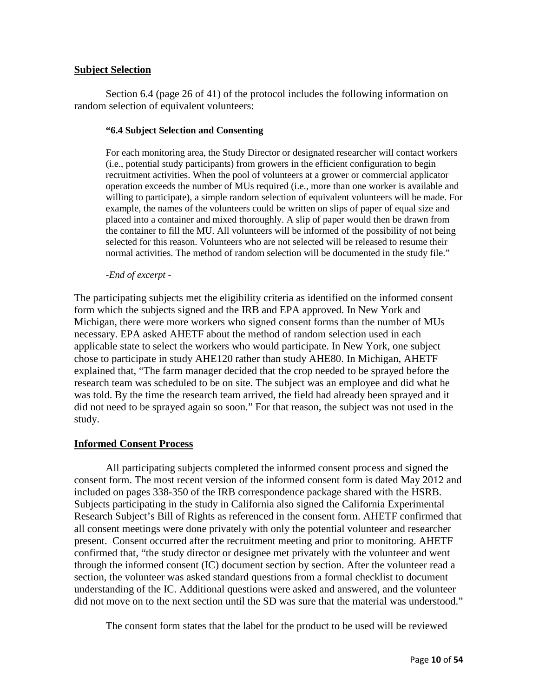#### **Subject Selection**

Section 6.4 (page 26 of 41) of the protocol includes the following information on random selection of equivalent volunteers:

#### **"6.4 Subject Selection and Consenting**

For each monitoring area, the Study Director or designated researcher will contact workers (i.e., potential study participants) from growers in the efficient configuration to begin recruitment activities. When the pool of volunteers at a grower or commercial applicator operation exceeds the number of MUs required (i.e., more than one worker is available and willing to participate), a simple random selection of equivalent volunteers will be made. For example, the names of the volunteers could be written on slips of paper of equal size and placed into a container and mixed thoroughly. A slip of paper would then be drawn from the container to fill the MU. All volunteers will be informed of the possibility of not being selected for this reason. Volunteers who are not selected will be released to resume their normal activities. The method of random selection will be documented in the study file."

#### *-End of excerpt -*

The participating subjects met the eligibility criteria as identified on the informed consent form which the subjects signed and the IRB and EPA approved. In New York and Michigan, there were more workers who signed consent forms than the number of MUs necessary. EPA asked AHETF about the method of random selection used in each applicable state to select the workers who would participate. In New York, one subject chose to participate in study AHE120 rather than study AHE80. In Michigan, AHETF explained that, "The farm manager decided that the crop needed to be sprayed before the research team was scheduled to be on site. The subject was an employee and did what he was told. By the time the research team arrived, the field had already been sprayed and it did not need to be sprayed again so soon." For that reason, the subject was not used in the study.

#### **Informed Consent Process**

All participating subjects completed the informed consent process and signed the consent form. The most recent version of the informed consent form is dated May 2012 and included on pages 338-350 of the IRB correspondence package shared with the HSRB. Subjects participating in the study in California also signed the California Experimental Research Subject's Bill of Rights as referenced in the consent form. AHETF confirmed that all consent meetings were done privately with only the potential volunteer and researcher present. Consent occurred after the recruitment meeting and prior to monitoring. AHETF confirmed that, "the study director or designee met privately with the volunteer and went through the informed consent (IC) document section by section. After the volunteer read a section, the volunteer was asked standard questions from a formal checklist to document understanding of the IC. Additional questions were asked and answered, and the volunteer did not move on to the next section until the SD was sure that the material was understood."

The consent form states that the label for the product to be used will be reviewed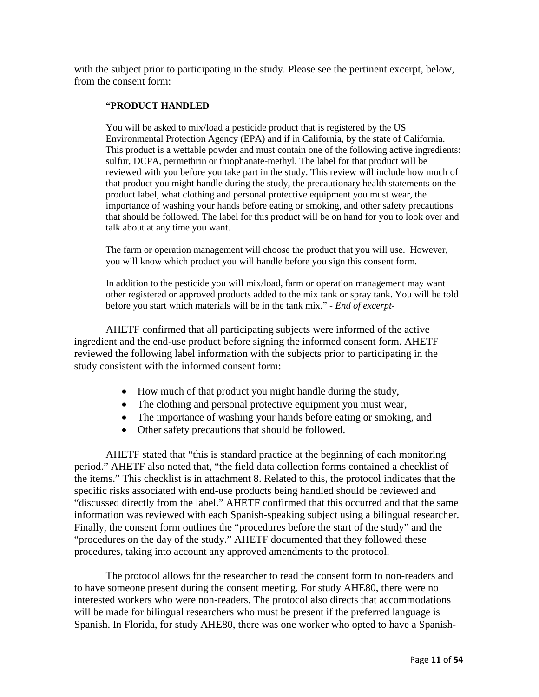with the subject prior to participating in the study. Please see the pertinent excerpt, below, from the consent form:

#### **"PRODUCT HANDLED**

You will be asked to mix/load a pesticide product that is registered by the US Environmental Protection Agency (EPA) and if in California, by the state of California. This product is a wettable powder and must contain one of the following active ingredients: sulfur, DCPA, permethrin or thiophanate-methyl. The label for that product will be reviewed with you before you take part in the study. This review will include how much of that product you might handle during the study, the precautionary health statements on the product label, what clothing and personal protective equipment you must wear, the importance of washing your hands before eating or smoking, and other safety precautions that should be followed. The label for this product will be on hand for you to look over and talk about at any time you want.

The farm or operation management will choose the product that you will use. However, you will know which product you will handle before you sign this consent form.

In addition to the pesticide you will mix/load, farm or operation management may want other registered or approved products added to the mix tank or spray tank. You will be told before you start which materials will be in the tank mix." *- End of excerpt-*

AHETF confirmed that all participating subjects were informed of the active ingredient and the end-use product before signing the informed consent form. AHETF reviewed the following label information with the subjects prior to participating in the study consistent with the informed consent form:

- How much of that product you might handle during the study,
- The clothing and personal protective equipment you must wear,
- The importance of washing your hands before eating or smoking, and
- Other safety precautions that should be followed.

AHETF stated that "this is standard practice at the beginning of each monitoring period." AHETF also noted that, "the field data collection forms contained a checklist of the items." This checklist is in attachment 8. Related to this, the protocol indicates that the specific risks associated with end-use products being handled should be reviewed and "discussed directly from the label." AHETF confirmed that this occurred and that the same information was reviewed with each Spanish-speaking subject using a bilingual researcher. Finally, the consent form outlines the "procedures before the start of the study" and the "procedures on the day of the study." AHETF documented that they followed these procedures, taking into account any approved amendments to the protocol.

The protocol allows for the researcher to read the consent form to non-readers and to have someone present during the consent meeting. For study AHE80, there were no interested workers who were non-readers. The protocol also directs that accommodations will be made for bilingual researchers who must be present if the preferred language is Spanish. In Florida, for study AHE80, there was one worker who opted to have a Spanish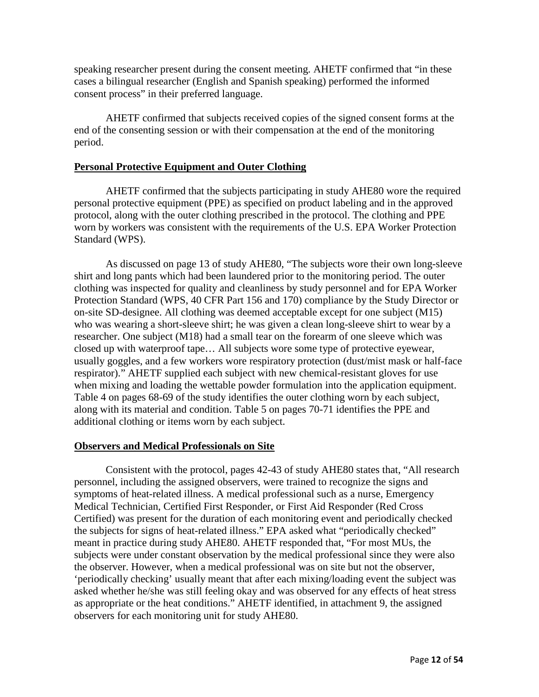speaking researcher present during the consent meeting. AHETF confirmed that "in these cases a bilingual researcher (English and Spanish speaking) performed the informed consent process" in their preferred language.

AHETF confirmed that subjects received copies of the signed consent forms at the end of the consenting session or with their compensation at the end of the monitoring period.

#### **Personal Protective Equipment and Outer Clothing**

AHETF confirmed that the subjects participating in study AHE80 wore the required personal protective equipment (PPE) as specified on product labeling and in the approved protocol, along with the outer clothing prescribed in the protocol. The clothing and PPE worn by workers was consistent with the requirements of the U.S. EPA Worker Protection Standard (WPS).

As discussed on page 13 of study AHE80, "The subjects wore their own long-sleeve shirt and long pants which had been laundered prior to the monitoring period. The outer clothing was inspected for quality and cleanliness by study personnel and for EPA Worker Protection Standard (WPS, 40 CFR Part 156 and 170) compliance by the Study Director or on-site SD-designee. All clothing was deemed acceptable except for one subject (M15) who was wearing a short-sleeve shirt; he was given a clean long-sleeve shirt to wear by a researcher. One subject (M18) had a small tear on the forearm of one sleeve which was closed up with waterproof tape… All subjects wore some type of protective eyewear, usually goggles, and a few workers wore respiratory protection (dust/mist mask or half-face respirator)." AHETF supplied each subject with new chemical-resistant gloves for use when mixing and loading the wettable powder formulation into the application equipment. Table 4 on pages 68-69 of the study identifies the outer clothing worn by each subject, along with its material and condition. Table 5 on pages 70-71 identifies the PPE and additional clothing or items worn by each subject.

#### **Observers and Medical Professionals on Site**

Consistent with the protocol, pages 42-43 of study AHE80 states that, "All research personnel, including the assigned observers, were trained to recognize the signs and symptoms of heat-related illness. A medical professional such as a nurse, Emergency Medical Technician, Certified First Responder, or First Aid Responder (Red Cross Certified) was present for the duration of each monitoring event and periodically checked the subjects for signs of heat-related illness." EPA asked what "periodically checked" meant in practice during study AHE80. AHETF responded that, "For most MUs, the subjects were under constant observation by the medical professional since they were also the observer. However, when a medical professional was on site but not the observer, 'periodically checking' usually meant that after each mixing/loading event the subject was asked whether he/she was still feeling okay and was observed for any effects of heat stress as appropriate or the heat conditions." AHETF identified, in attachment 9, the assigned observers for each monitoring unit for study AHE80.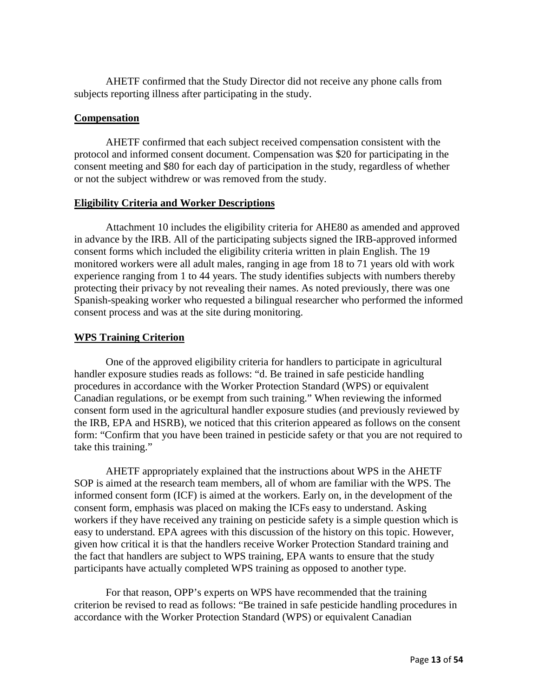AHETF confirmed that the Study Director did not receive any phone calls from subjects reporting illness after participating in the study.

#### **Compensation**

AHETF confirmed that each subject received compensation consistent with the protocol and informed consent document. Compensation was \$20 for participating in the consent meeting and \$80 for each day of participation in the study, regardless of whether or not the subject withdrew or was removed from the study.

#### **Eligibility Criteria and Worker Descriptions**

Attachment 10 includes the eligibility criteria for AHE80 as amended and approved in advance by the IRB. All of the participating subjects signed the IRB-approved informed consent forms which included the eligibility criteria written in plain English. The 19 monitored workers were all adult males, ranging in age from 18 to 71 years old with work experience ranging from 1 to 44 years. The study identifies subjects with numbers thereby protecting their privacy by not revealing their names. As noted previously, there was one Spanish-speaking worker who requested a bilingual researcher who performed the informed consent process and was at the site during monitoring.

#### **WPS Training Criterion**

One of the approved eligibility criteria for handlers to participate in agricultural handler exposure studies reads as follows: "d. Be trained in safe pesticide handling procedures in accordance with the Worker Protection Standard (WPS) or equivalent Canadian regulations, or be exempt from such training." When reviewing the informed consent form used in the agricultural handler exposure studies (and previously reviewed by the IRB, EPA and HSRB), we noticed that this criterion appeared as follows on the consent form: "Confirm that you have been trained in pesticide safety or that you are not required to take this training."

AHETF appropriately explained that the instructions about WPS in the AHETF SOP is aimed at the research team members, all of whom are familiar with the WPS. The informed consent form (ICF) is aimed at the workers. Early on, in the development of the consent form, emphasis was placed on making the ICFs easy to understand. Asking workers if they have received any training on pesticide safety is a simple question which is easy to understand. EPA agrees with this discussion of the history on this topic. However, given how critical it is that the handlers receive Worker Protection Standard training and the fact that handlers are subject to WPS training, EPA wants to ensure that the study participants have actually completed WPS training as opposed to another type.

For that reason, OPP's experts on WPS have recommended that the training criterion be revised to read as follows: "Be trained in safe pesticide handling procedures in accordance with the Worker Protection Standard (WPS) or equivalent Canadian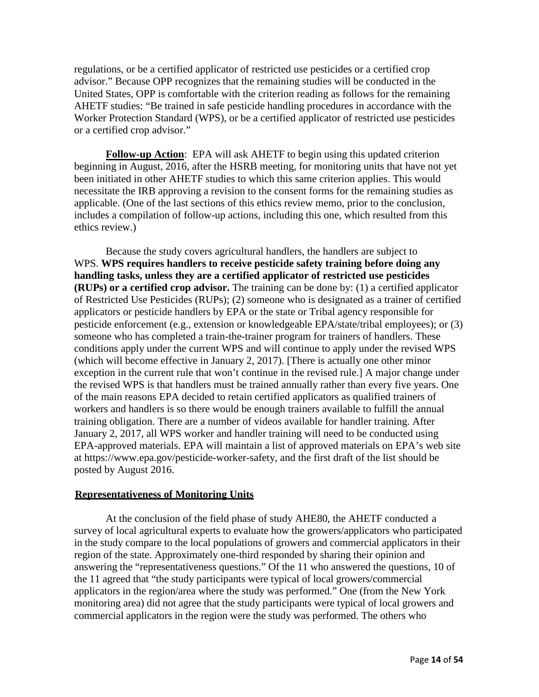regulations, or be a certified applicator of restricted use pesticides or a certified crop advisor." Because OPP recognizes that the remaining studies will be conducted in the United States, OPP is comfortable with the criterion reading as follows for the remaining AHETF studies: "Be trained in safe pesticide handling procedures in accordance with the Worker Protection Standard (WPS), or be a certified applicator of restricted use pesticides or a certified crop advisor."

**Follow-up Action**: EPA will ask AHETF to begin using this updated criterion beginning in August, 2016, after the HSRB meeting, for monitoring units that have not yet been initiated in other AHETF studies to which this same criterion applies. This would necessitate the IRB approving a revision to the consent forms for the remaining studies as applicable. (One of the last sections of this ethics review memo, prior to the conclusion, includes a compilation of follow-up actions, including this one, which resulted from this ethics review.)

Because the study covers agricultural handlers, the handlers are subject to WPS. **WPS requires handlers to receive pesticide safety training before doing any handling tasks, unless they are a certified applicator of restricted use pesticides (RUPs) or a certified crop advisor.** The training can be done by: (1) a certified applicator of Restricted Use Pesticides (RUPs); (2) someone who is designated as a trainer of certified applicators or pesticide handlers by EPA or the state or Tribal agency responsible for pesticide enforcement (e.g., extension or knowledgeable EPA/state/tribal employees); or (3) someone who has completed a train-the-trainer program for trainers of handlers. These conditions apply under the current WPS and will continue to apply under the revised WPS (which will become effective in January 2, 2017). [There is actually one other minor exception in the current rule that won't continue in the revised rule.] A major change under the revised WPS is that handlers must be trained annually rather than every five years. One of the main reasons EPA decided to retain certified applicators as qualified trainers of workers and handlers is so there would be enough trainers available to fulfill the annual training obligation. There are a number of videos available for handler training. After January 2, 2017, all WPS worker and handler training will need to be conducted using EPA-approved materials. EPA will maintain a list of approved materials on EPA's web site at [https://www.epa.gov/pesticide-worker-safety,](https://www.epa.gov/pesticide-worker-safety) and the first draft of the list should be posted by August 2016.

#### **Representativeness of Monitoring Units**

At the conclusion of the field phase of study AHE80, the AHETF conducted a survey of local agricultural experts to evaluate how the growers/applicators who participated in the study compare to the local populations of growers and commercial applicators in their region of the state. Approximately one-third responded by sharing their opinion and answering the "representativeness questions." Of the 11 who answered the questions, 10 of the 11 agreed that "the study participants were typical of local growers/commercial applicators in the region/area where the study was performed." One (from the New York monitoring area) did not agree that the study participants were typical of local growers and commercial applicators in the region were the study was performed. The others who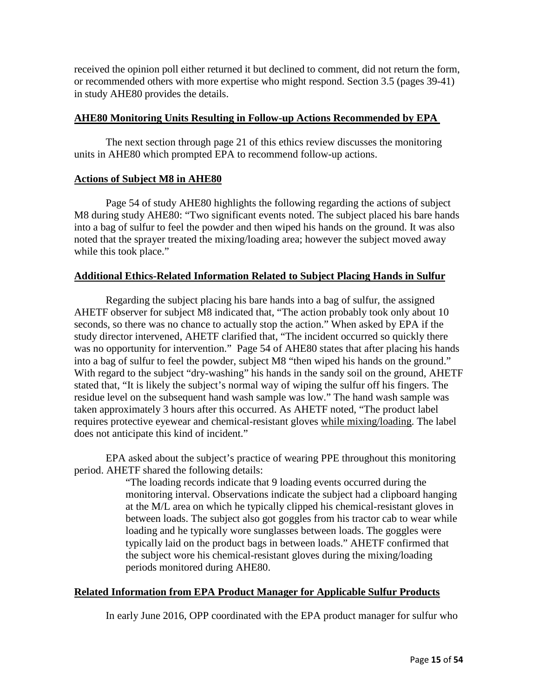received the opinion poll either returned it but declined to comment, did not return the form, or recommended others with more expertise who might respond. Section 3.5 (pages 39-41) in study AHE80 provides the details.

#### **AHE80 Monitoring Units Resulting in Follow-up Actions Recommended by EPA**

The next section through page 21 of this ethics review discusses the monitoring units in AHE80 which prompted EPA to recommend follow-up actions.

#### **Actions of Subject M8 in AHE80**

Page 54 of study AHE80 highlights the following regarding the actions of subject M8 during study AHE80: "Two significant events noted. The subject placed his bare hands into a bag of sulfur to feel the powder and then wiped his hands on the ground. It was also noted that the sprayer treated the mixing/loading area; however the subject moved away while this took place."

#### **Additional Ethics-Related Information Related to Subject Placing Hands in Sulfur**

Regarding the subject placing his bare hands into a bag of sulfur, the assigned AHETF observer for subject M8 indicated that, "The action probably took only about 10 seconds, so there was no chance to actually stop the action." When asked by EPA if the study director intervened, AHETF clarified that, "The incident occurred so quickly there was no opportunity for intervention." Page 54 of AHE80 states that after placing his hands into a bag of sulfur to feel the powder, subject M8 "then wiped his hands on the ground." With regard to the subject "dry-washing" his hands in the sandy soil on the ground, AHETF stated that, "It is likely the subject's normal way of wiping the sulfur off his fingers. The residue level on the subsequent hand wash sample was low." The hand wash sample was taken approximately 3 hours after this occurred. As AHETF noted, "The product label requires protective eyewear and chemical-resistant gloves while mixing/loading. The label does not anticipate this kind of incident."

EPA asked about the subject's practice of wearing PPE throughout this monitoring period. AHETF shared the following details:

"The loading records indicate that 9 loading events occurred during the monitoring interval. Observations indicate the subject had a clipboard hanging at the M/L area on which he typically clipped his chemical-resistant gloves in between loads. The subject also got goggles from his tractor cab to wear while loading and he typically wore sunglasses between loads. The goggles were typically laid on the product bags in between loads." AHETF confirmed that the subject wore his chemical-resistant gloves during the mixing/loading periods monitored during AHE80.

#### **Related Information from EPA Product Manager for Applicable Sulfur Products**

In early June 2016, OPP coordinated with the EPA product manager for sulfur who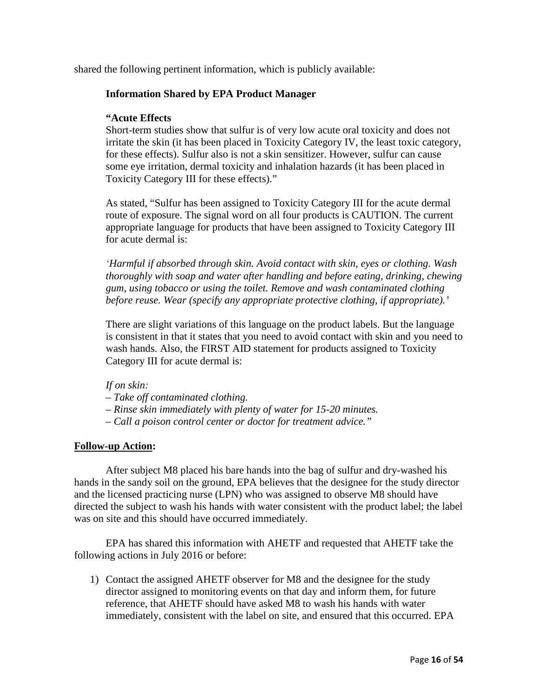shared the following pertinent information, which is publicly available:

#### **Information Shared by EPA Product Manager**

#### **"Acute Effects**

Short-term studies show that sulfur is of very low acute oral toxicity and does not irritate the skin (it has been placed in Toxicity Category IV, the least toxic category, for these effects). Sulfur also is not a skin sensitizer. However, sulfur can cause some eye irritation, dermal toxicity and inhalation hazards (it has been placed in Toxicity Category III for these effects)."

As stated, "Sulfur has been assigned to Toxicity Category III for the acute dermal route of exposure. The signal word on all four products is CAUTION. The current appropriate language for products that have been assigned to Toxicity Category III for acute dermal is:

*'Harmful if absorbed through skin. Avoid contact with skin, eyes or clothing. Wash thoroughly with soap and water after handling and before eating, drinking, chewing gum, using tobacco or using the toilet. Remove and wash contaminated clothing before reuse. Wear (specify any appropriate protective clothing, if appropriate).'*

There are slight variations of this language on the product labels. But the language is consistent in that it states that you need to avoid contact with skin and you need to wash hands. Also, the FIRST AID statement for products assigned to Toxicity Category III for acute dermal is:

#### *If on skin:*

- *– Take off contaminated clothing.*
- *– Rinse skin immediately with plenty of water for 15-20 minutes.*
- *– Call a poison control center or doctor for treatment advice."*

#### **Follow-up Action:**

After subject M8 placed his bare hands into the bag of sulfur and dry-washed his hands in the sandy soil on the ground, EPA believes that the designee for the study director and the licensed practicing nurse (LPN) who was assigned to observe M8 should have directed the subject to wash his hands with water consistent with the product label; the label was on site and this should have occurred immediately.

EPA has shared this information with AHETF and requested that AHETF take the following actions in July 2016 or before:

1) Contact the assigned AHETF observer for M8 and the designee for the study director assigned to monitoring events on that day and inform them, for future reference, that AHETF should have asked M8 to wash his hands with water immediately, consistent with the label on site, and ensured that this occurred. EPA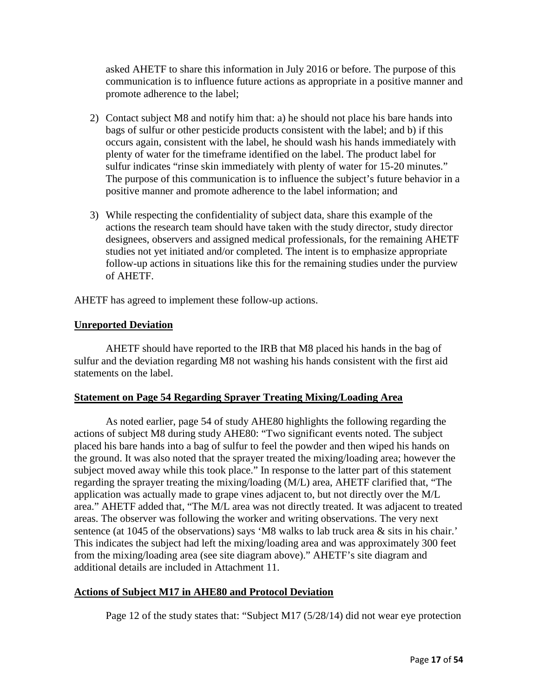asked AHETF to share this information in July 2016 or before. The purpose of this communication is to influence future actions as appropriate in a positive manner and promote adherence to the label;

- 2) Contact subject M8 and notify him that: a) he should not place his bare hands into bags of sulfur or other pesticide products consistent with the label; and b) if this occurs again, consistent with the label, he should wash his hands immediately with plenty of water for the timeframe identified on the label. The product label for sulfur indicates "rinse skin immediately with plenty of water for 15-20 minutes." The purpose of this communication is to influence the subject's future behavior in a positive manner and promote adherence to the label information; and
- 3) While respecting the confidentiality of subject data, share this example of the actions the research team should have taken with the study director, study director designees, observers and assigned medical professionals, for the remaining AHETF studies not yet initiated and/or completed. The intent is to emphasize appropriate follow-up actions in situations like this for the remaining studies under the purview of AHETF.

AHETF has agreed to implement these follow-up actions.

#### **Unreported Deviation**

AHETF should have reported to the IRB that M8 placed his hands in the bag of sulfur and the deviation regarding M8 not washing his hands consistent with the first aid statements on the label.

#### **Statement on Page 54 Regarding Sprayer Treating Mixing/Loading Area**

As noted earlier, page 54 of study AHE80 highlights the following regarding the actions of subject M8 during study AHE80: "Two significant events noted. The subject placed his bare hands into a bag of sulfur to feel the powder and then wiped his hands on the ground. It was also noted that the sprayer treated the mixing/loading area; however the subject moved away while this took place." In response to the latter part of this statement regarding the sprayer treating the mixing/loading (M/L) area, AHETF clarified that, "The application was actually made to grape vines adjacent to, but not directly over the M/L area." AHETF added that, "The M/L area was not directly treated. It was adjacent to treated areas. The observer was following the worker and writing observations. The very next sentence (at 1045 of the observations) says 'M8 walks to lab truck area & sits in his chair.' This indicates the subject had left the mixing/loading area and was approximately 300 feet from the mixing/loading area (see site diagram above)." AHETF's site diagram and additional details are included in Attachment 11.

#### **Actions of Subject M17 in AHE80 and Protocol Deviation**

Page 12 of the study states that: "Subject M17 (5/28/14) did not wear eye protection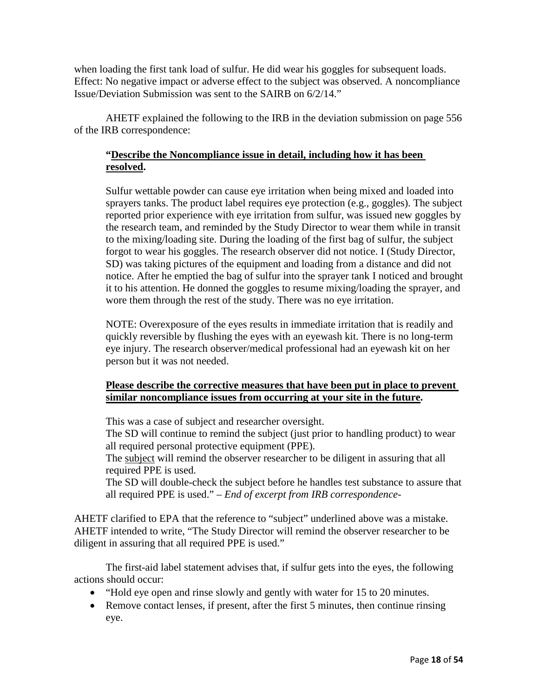when loading the first tank load of sulfur. He did wear his goggles for subsequent loads. Effect: No negative impact or adverse effect to the subject was observed. A noncompliance Issue/Deviation Submission was sent to the SAIRB on 6/2/14."

AHETF explained the following to the IRB in the deviation submission on page 556 of the IRB correspondence:

#### **"Describe the Noncompliance issue in detail, including how it has been resolved.**

Sulfur wettable powder can cause eye irritation when being mixed and loaded into sprayers tanks. The product label requires eye protection (e.g., goggles). The subject reported prior experience with eye irritation from sulfur, was issued new goggles by the research team, and reminded by the Study Director to wear them while in transit to the mixing/loading site. During the loading of the first bag of sulfur, the subject forgot to wear his goggles. The research observer did not notice. I (Study Director, SD) was taking pictures of the equipment and loading from a distance and did not notice. After he emptied the bag of sulfur into the sprayer tank I noticed and brought it to his attention. He donned the goggles to resume mixing/loading the sprayer, and wore them through the rest of the study. There was no eye irritation.

NOTE: Overexposure of the eyes results in immediate irritation that is readily and quickly reversible by flushing the eyes with an eyewash kit. There is no long-term eye injury. The research observer/medical professional had an eyewash kit on her person but it was not needed.

#### **Please describe the corrective measures that have been put in place to prevent similar noncompliance issues from occurring at your site in the future.**

This was a case of subject and researcher oversight.

The SD will continue to remind the subject (just prior to handling product) to wear all required personal protective equipment (PPE).

The subject will remind the observer researcher to be diligent in assuring that all required PPE is used.

The SD will double-check the subject before he handles test substance to assure that all required PPE is used." *– End of excerpt from IRB correspondence-*

AHETF clarified to EPA that the reference to "subject" underlined above was a mistake. AHETF intended to write, "The Study Director will remind the observer researcher to be diligent in assuring that all required PPE is used."

The first-aid label statement advises that, if sulfur gets into the eyes, the following actions should occur:

- "Hold eye open and rinse slowly and gently with water for 15 to 20 minutes.
- Remove contact lenses, if present, after the first 5 minutes, then continue rinsing eye.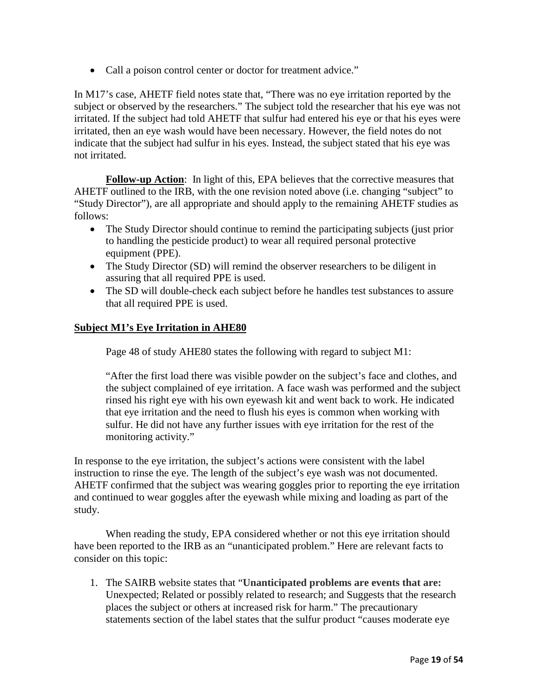• Call a poison control center or doctor for treatment advice."

In M17's case, AHETF field notes state that, "There was no eye irritation reported by the subject or observed by the researchers." The subject told the researcher that his eye was not irritated. If the subject had told AHETF that sulfur had entered his eye or that his eyes were irritated, then an eye wash would have been necessary. However, the field notes do not indicate that the subject had sulfur in his eyes. Instead, the subject stated that his eye was not irritated.

**Follow-up Action**: In light of this, EPA believes that the corrective measures that AHETF outlined to the IRB, with the one revision noted above (i.e. changing "subject" to "Study Director"), are all appropriate and should apply to the remaining AHETF studies as follows:

- The Study Director should continue to remind the participating subjects (just prior to handling the pesticide product) to wear all required personal protective equipment (PPE).
- The Study Director (SD) will remind the observer researchers to be diligent in assuring that all required PPE is used.
- The SD will double-check each subject before he handles test substances to assure that all required PPE is used.

#### **Subject M1's Eye Irritation in AHE80**

Page 48 of study AHE80 states the following with regard to subject M1:

"After the first load there was visible powder on the subject's face and clothes, and the subject complained of eye irritation. A face wash was performed and the subject rinsed his right eye with his own eyewash kit and went back to work. He indicated that eye irritation and the need to flush his eyes is common when working with sulfur. He did not have any further issues with eye irritation for the rest of the monitoring activity."

In response to the eye irritation, the subject's actions were consistent with the label instruction to rinse the eye. The length of the subject's eye wash was not documented. AHETF confirmed that the subject was wearing goggles prior to reporting the eye irritation and continued to wear goggles after the eyewash while mixing and loading as part of the study.

When reading the study, EPA considered whether or not this eye irritation should have been reported to the IRB as an "unanticipated problem." Here are relevant facts to consider on this topic:

1. The SAIRB website states that "**Unanticipated problems are events that are:**  Unexpected; Related or possibly related to research; and Suggests that the research places the subject or others at increased risk for harm." The precautionary statements section of the label states that the sulfur product "causes moderate eye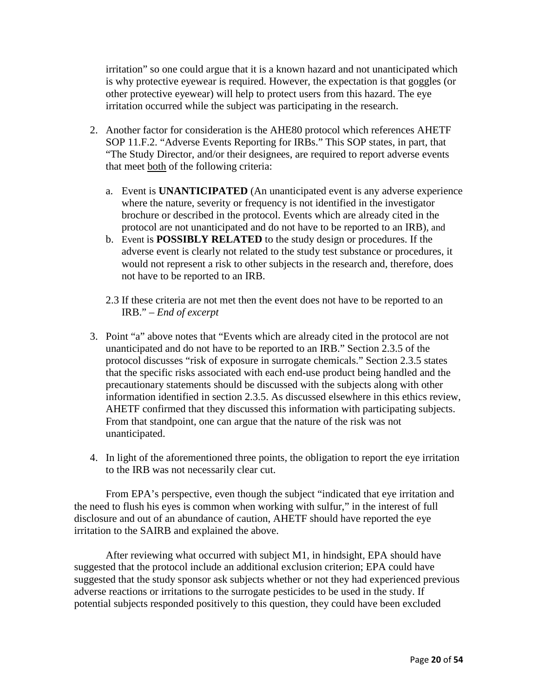irritation" so one could argue that it is a known hazard and not unanticipated which is why protective eyewear is required. However, the expectation is that goggles (or other protective eyewear) will help to protect users from this hazard. The eye irritation occurred while the subject was participating in the research.

- 2. Another factor for consideration is the AHE80 protocol which references AHETF SOP 11.F.2. "Adverse Events Reporting for IRBs." This SOP states, in part, that "The Study Director, and/or their designees, are required to report adverse events that meet both of the following criteria:
	- a. Event is **UNANTICIPATED** (An unanticipated event is any adverse experience where the nature, severity or frequency is not identified in the investigator brochure or described in the protocol. Events which are already cited in the protocol are not unanticipated and do not have to be reported to an IRB), and
	- b. Event is **POSSIBLY RELATED** to the study design or procedures. If the adverse event is clearly not related to the study test substance or procedures, it would not represent a risk to other subjects in the research and, therefore, does not have to be reported to an IRB.
	- 2.3 If these criteria are not met then the event does not have to be reported to an IRB." – *End of excerpt*
- 3. Point "a" above notes that "Events which are already cited in the protocol are not unanticipated and do not have to be reported to an IRB." Section 2.3.5 of the protocol discusses "risk of exposure in surrogate chemicals." Section 2.3.5 states that the specific risks associated with each end-use product being handled and the precautionary statements should be discussed with the subjects along with other information identified in section 2.3.5. As discussed elsewhere in this ethics review, AHETF confirmed that they discussed this information with participating subjects. From that standpoint, one can argue that the nature of the risk was not unanticipated.
- 4. In light of the aforementioned three points, the obligation to report the eye irritation to the IRB was not necessarily clear cut.

From EPA's perspective, even though the subject "indicated that eye irritation and the need to flush his eyes is common when working with sulfur," in the interest of full disclosure and out of an abundance of caution, AHETF should have reported the eye irritation to the SAIRB and explained the above.

After reviewing what occurred with subject M1, in hindsight, EPA should have suggested that the protocol include an additional exclusion criterion; EPA could have suggested that the study sponsor ask subjects whether or not they had experienced previous adverse reactions or irritations to the surrogate pesticides to be used in the study. If potential subjects responded positively to this question, they could have been excluded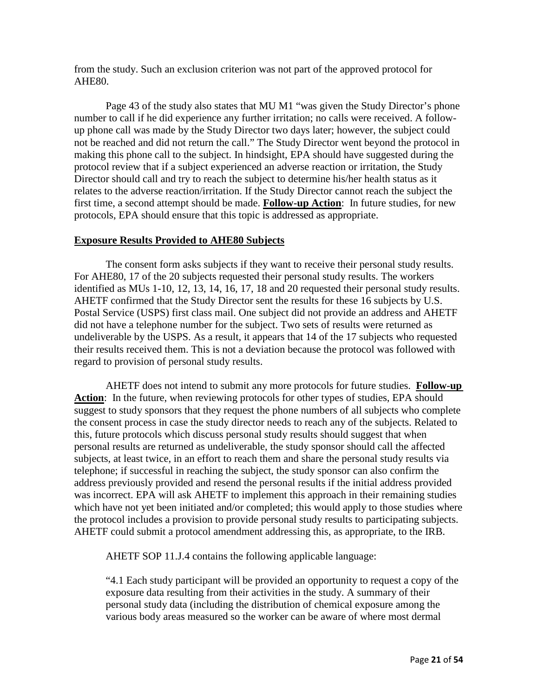from the study. Such an exclusion criterion was not part of the approved protocol for AHE80.

Page 43 of the study also states that MU M1 "was given the Study Director's phone number to call if he did experience any further irritation; no calls were received. A followup phone call was made by the Study Director two days later; however, the subject could not be reached and did not return the call." The Study Director went beyond the protocol in making this phone call to the subject. In hindsight, EPA should have suggested during the protocol review that if a subject experienced an adverse reaction or irritation, the Study Director should call and try to reach the subject to determine his/her health status as it relates to the adverse reaction/irritation. If the Study Director cannot reach the subject the first time, a second attempt should be made. **Follow-up Action**: In future studies, for new protocols, EPA should ensure that this topic is addressed as appropriate.

#### **Exposure Results Provided to AHE80 Subjects**

The consent form asks subjects if they want to receive their personal study results. For AHE80, 17 of the 20 subjects requested their personal study results. The workers identified as MUs 1-10, 12, 13, 14, 16, 17, 18 and 20 requested their personal study results. AHETF confirmed that the Study Director sent the results for these 16 subjects by U.S. Postal Service (USPS) first class mail. One subject did not provide an address and AHETF did not have a telephone number for the subject. Two sets of results were returned as undeliverable by the USPS. As a result, it appears that 14 of the 17 subjects who requested their results received them. This is not a deviation because the protocol was followed with regard to provision of personal study results.

AHETF does not intend to submit any more protocols for future studies. **Follow-up**  Action: In the future, when reviewing protocols for other types of studies, EPA should suggest to study sponsors that they request the phone numbers of all subjects who complete the consent process in case the study director needs to reach any of the subjects. Related to this, future protocols which discuss personal study results should suggest that when personal results are returned as undeliverable, the study sponsor should call the affected subjects, at least twice, in an effort to reach them and share the personal study results via telephone; if successful in reaching the subject, the study sponsor can also confirm the address previously provided and resend the personal results if the initial address provided was incorrect. EPA will ask AHETF to implement this approach in their remaining studies which have not yet been initiated and/or completed; this would apply to those studies where the protocol includes a provision to provide personal study results to participating subjects. AHETF could submit a protocol amendment addressing this, as appropriate, to the IRB.

AHETF SOP 11.J.4 contains the following applicable language:

"4.1 Each study participant will be provided an opportunity to request a copy of the exposure data resulting from their activities in the study. A summary of their personal study data (including the distribution of chemical exposure among the various body areas measured so the worker can be aware of where most dermal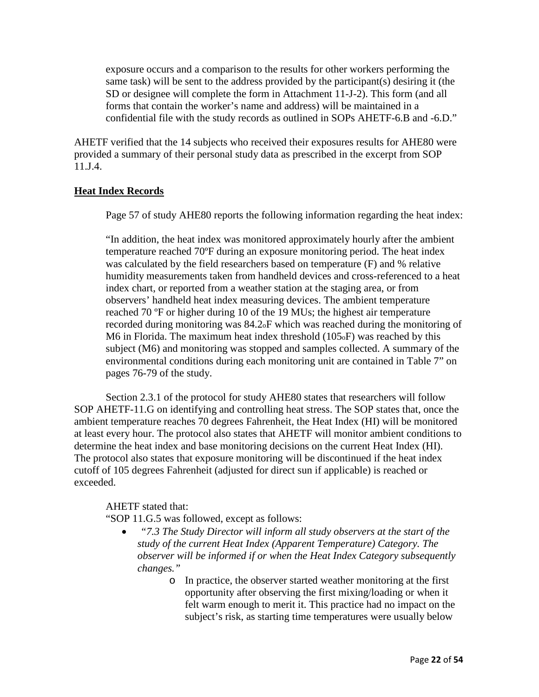exposure occurs and a comparison to the results for other workers performing the same task) will be sent to the address provided by the participant(s) desiring it (the SD or designee will complete the form in Attachment 11-J-2). This form (and all forms that contain the worker's name and address) will be maintained in a confidential file with the study records as outlined in SOPs AHETF-6.B and -6.D."

AHETF verified that the 14 subjects who received their exposures results for AHE80 were provided a summary of their personal study data as prescribed in the excerpt from SOP 11.J.4.

#### **Heat Index Records**

Page 57 of study AHE80 reports the following information regarding the heat index:

"In addition, the heat index was monitored approximately hourly after the ambient temperature reached 70ºF during an exposure monitoring period. The heat index was calculated by the field researchers based on temperature (F) and % relative humidity measurements taken from handheld devices and cross-referenced to a heat index chart, or reported from a weather station at the staging area, or from observers' handheld heat index measuring devices. The ambient temperature reached 70 ºF or higher during 10 of the 19 MUs; the highest air temperature recorded during monitoring was 84.2oF which was reached during the monitoring of M6 in Florida. The maximum heat index threshold (105oF) was reached by this subject (M6) and monitoring was stopped and samples collected. A summary of the environmental conditions during each monitoring unit are contained in Table 7" on pages 76-79 of the study.

Section 2.3.1 of the protocol for study AHE80 states that researchers will follow SOP AHETF-11.G on identifying and controlling heat stress. The SOP states that, once the ambient temperature reaches 70 degrees Fahrenheit, the Heat Index (HI) will be monitored at least every hour. The protocol also states that AHETF will monitor ambient conditions to determine the heat index and base monitoring decisions on the current Heat Index (HI). The protocol also states that exposure monitoring will be discontinued if the heat index cutoff of 105 degrees Fahrenheit (adjusted for direct sun if applicable) is reached or exceeded.

#### AHETF stated that:

"SOP 11.G.5 was followed, except as follows:

- *"7.3 The Study Director will inform all study observers at the start of the study of the current Heat Index (Apparent Temperature) Category. The observer will be informed if or when the Heat Index Category subsequently changes."*
	- o In practice, the observer started weather monitoring at the first opportunity after observing the first mixing/loading or when it felt warm enough to merit it. This practice had no impact on the subject's risk, as starting time temperatures were usually below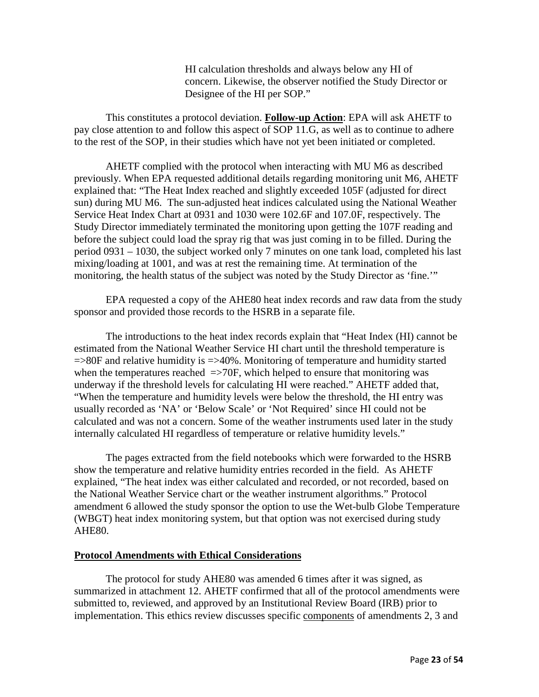HI calculation thresholds and always below any HI of concern. Likewise, the observer notified the Study Director or Designee of the HI per SOP."

This constitutes a protocol deviation. **Follow-up Action**: EPA will ask AHETF to pay close attention to and follow this aspect of SOP 11.G, as well as to continue to adhere to the rest of the SOP, in their studies which have not yet been initiated or completed.

AHETF complied with the protocol when interacting with MU M6 as described previously. When EPA requested additional details regarding monitoring unit M6, AHETF explained that: "The Heat Index reached and slightly exceeded 105F (adjusted for direct sun) during MU M6. The sun-adjusted heat indices calculated using the National Weather Service Heat Index Chart at 0931 and 1030 were 102.6F and 107.0F, respectively. The Study Director immediately terminated the monitoring upon getting the 107F reading and before the subject could load the spray rig that was just coming in to be filled. During the period 0931 – 1030, the subject worked only 7 minutes on one tank load, completed his last mixing/loading at 1001, and was at rest the remaining time. At termination of the monitoring, the health status of the subject was noted by the Study Director as 'fine.'"

EPA requested a copy of the AHE80 heat index records and raw data from the study sponsor and provided those records to the HSRB in a separate file.

The introductions to the heat index records explain that "Heat Index (HI) cannot be estimated from the National Weather Service HI chart until the threshold temperature is  $\Rightarrow$ 80F and relative humidity is  $\Rightarrow$  40%. Monitoring of temperature and humidity started when the temperatures reached  $\Rightarrow$  70F, which helped to ensure that monitoring was underway if the threshold levels for calculating HI were reached." AHETF added that, "When the temperature and humidity levels were below the threshold, the HI entry was usually recorded as 'NA' or 'Below Scale' or 'Not Required' since HI could not be calculated and was not a concern. Some of the weather instruments used later in the study internally calculated HI regardless of temperature or relative humidity levels."

The pages extracted from the field notebooks which were forwarded to the HSRB show the temperature and relative humidity entries recorded in the field. As AHETF explained, "The heat index was either calculated and recorded, or not recorded, based on the National Weather Service chart or the weather instrument algorithms." Protocol amendment 6 allowed the study sponsor the option to use the Wet-bulb Globe Temperature (WBGT) heat index monitoring system, but that option was not exercised during study AHE80.

#### **Protocol Amendments with Ethical Considerations**

The protocol for study AHE80 was amended 6 times after it was signed, as summarized in attachment 12. AHETF confirmed that all of the protocol amendments were submitted to, reviewed, and approved by an Institutional Review Board (IRB) prior to implementation. This ethics review discusses specific components of amendments 2, 3 and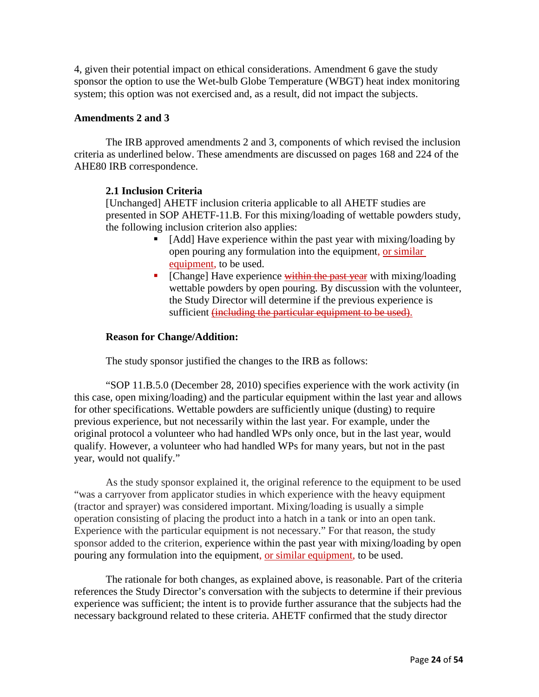4, given their potential impact on ethical considerations. Amendment 6 gave the study sponsor the option to use the Wet-bulb Globe Temperature (WBGT) heat index monitoring system; this option was not exercised and, as a result, did not impact the subjects.

#### **Amendments 2 and 3**

The IRB approved amendments 2 and 3, components of which revised the inclusion criteria as underlined below. These amendments are discussed on pages 168 and 224 of the AHE80 IRB correspondence.

#### **2.1 Inclusion Criteria**

[Unchanged] AHETF inclusion criteria applicable to all AHETF studies are presented in SOP AHETF-11.B. For this mixing/loading of wettable powders study, the following inclusion criterion also applies:

- [Add] Have experience within the past year with mixing/loading by open pouring any formulation into the equipment, or similar equipment, to be used.
- $\blacksquare$  [Change] Have experience within the past year with mixing/loading wettable powders by open pouring. By discussion with the volunteer, the Study Director will determine if the previous experience is sufficient (including the particular equipment to be used).

#### **Reason for Change/Addition:**

The study sponsor justified the changes to the IRB as follows:

"SOP 11.B.5.0 (December 28, 2010) specifies experience with the work activity (in this case, open mixing/loading) and the particular equipment within the last year and allows for other specifications. Wettable powders are sufficiently unique (dusting) to require previous experience, but not necessarily within the last year. For example, under the original protocol a volunteer who had handled WPs only once, but in the last year, would qualify. However, a volunteer who had handled WPs for many years, but not in the past year, would not qualify."

As the study sponsor explained it, the original reference to the equipment to be used "was a carryover from applicator studies in which experience with the heavy equipment (tractor and sprayer) was considered important. Mixing/loading is usually a simple operation consisting of placing the product into a hatch in a tank or into an open tank. Experience with the particular equipment is not necessary." For that reason, the study sponsor added to the criterion, experience within the past year with mixing/loading by open pouring any formulation into the equipment, or similar equipment, to be used.

The rationale for both changes, as explained above, is reasonable. Part of the criteria references the Study Director's conversation with the subjects to determine if their previous experience was sufficient; the intent is to provide further assurance that the subjects had the necessary background related to these criteria. AHETF confirmed that the study director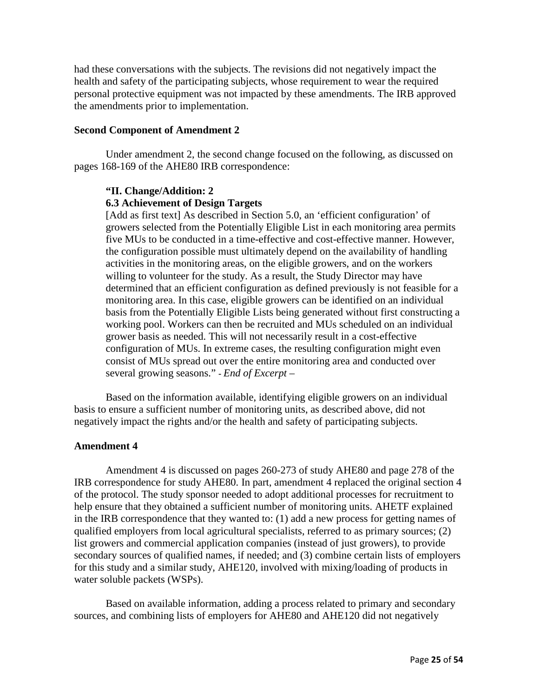had these conversations with the subjects. The revisions did not negatively impact the health and safety of the participating subjects, whose requirement to wear the required personal protective equipment was not impacted by these amendments. The IRB approved the amendments prior to implementation.

#### **Second Component of Amendment 2**

Under amendment 2, the second change focused on the following, as discussed on pages 168-169 of the AHE80 IRB correspondence:

#### **"II. Change/Addition: 2**

#### **6.3 Achievement of Design Targets**

[Add as first text] As described in Section 5.0, an 'efficient configuration' of growers selected from the Potentially Eligible List in each monitoring area permits five MUs to be conducted in a time-effective and cost-effective manner. However, the configuration possible must ultimately depend on the availability of handling activities in the monitoring areas, on the eligible growers, and on the workers willing to volunteer for the study. As a result, the Study Director may have determined that an efficient configuration as defined previously is not feasible for a monitoring area. In this case, eligible growers can be identified on an individual basis from the Potentially Eligible Lists being generated without first constructing a working pool. Workers can then be recruited and MUs scheduled on an individual grower basis as needed. This will not necessarily result in a cost-effective configuration of MUs. In extreme cases, the resulting configuration might even consist of MUs spread out over the entire monitoring area and conducted over several growing seasons." **-** *End of Excerpt* –

Based on the information available, identifying eligible growers on an individual basis to ensure a sufficient number of monitoring units, as described above, did not negatively impact the rights and/or the health and safety of participating subjects.

#### **Amendment 4**

Amendment 4 is discussed on pages 260-273 of study AHE80 and page 278 of the IRB correspondence for study AHE80. In part, amendment 4 replaced the original section 4 of the protocol. The study sponsor needed to adopt additional processes for recruitment to help ensure that they obtained a sufficient number of monitoring units. AHETF explained in the IRB correspondence that they wanted to: (1) add a new process for getting names of qualified employers from local agricultural specialists, referred to as primary sources; (2) list growers and commercial application companies (instead of just growers), to provide secondary sources of qualified names, if needed; and (3) combine certain lists of employers for this study and a similar study, AHE120, involved with mixing/loading of products in water soluble packets (WSPs).

Based on available information, adding a process related to primary and secondary sources, and combining lists of employers for AHE80 and AHE120 did not negatively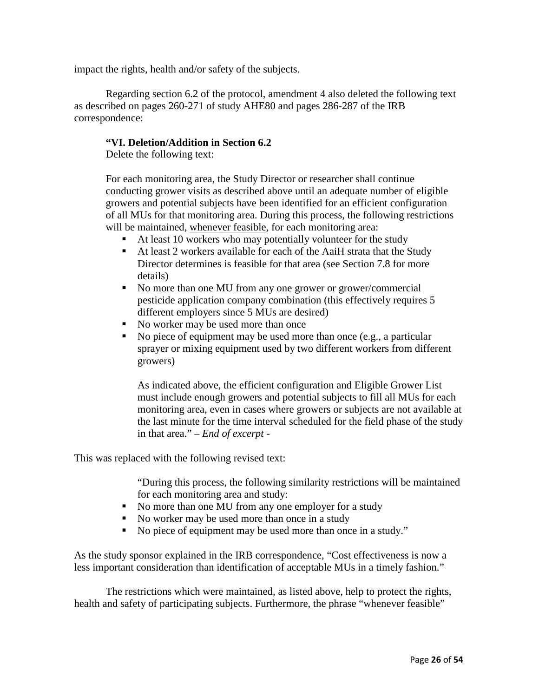impact the rights, health and/or safety of the subjects.

Regarding section 6.2 of the protocol, amendment 4 also deleted the following text as described on pages 260-271 of study AHE80 and pages 286-287 of the IRB correspondence:

#### **"VI. Deletion/Addition in Section 6.2**

Delete the following text:

For each monitoring area, the Study Director or researcher shall continue conducting grower visits as described above until an adequate number of eligible growers and potential subjects have been identified for an efficient configuration of all MUs for that monitoring area. During this process, the following restrictions will be maintained, whenever feasible, for each monitoring area:

- $\blacksquare$  At least 10 workers who may potentially volunteer for the study
- At least 2 workers available for each of the AaiH strata that the Study Director determines is feasible for that area (see Section 7.8 for more details)
- No more than one MU from any one grower or grower/commercial pesticide application company combination (this effectively requires 5 different employers since 5 MUs are desired)
- No worker may be used more than once
- $\blacksquare$  No piece of equipment may be used more than once (e.g., a particular sprayer or mixing equipment used by two different workers from different growers)

As indicated above, the efficient configuration and Eligible Grower List must include enough growers and potential subjects to fill all MUs for each monitoring area, even in cases where growers or subjects are not available at the last minute for the time interval scheduled for the field phase of the study in that area." *– End of excerpt -*

This was replaced with the following revised text:

"During this process, the following similarity restrictions will be maintained for each monitoring area and study:

- No more than one MU from any one employer for a study
- No worker may be used more than once in a study
- No piece of equipment may be used more than once in a study."

As the study sponsor explained in the IRB correspondence, "Cost effectiveness is now a less important consideration than identification of acceptable MUs in a timely fashion."

The restrictions which were maintained, as listed above, help to protect the rights, health and safety of participating subjects. Furthermore, the phrase "whenever feasible"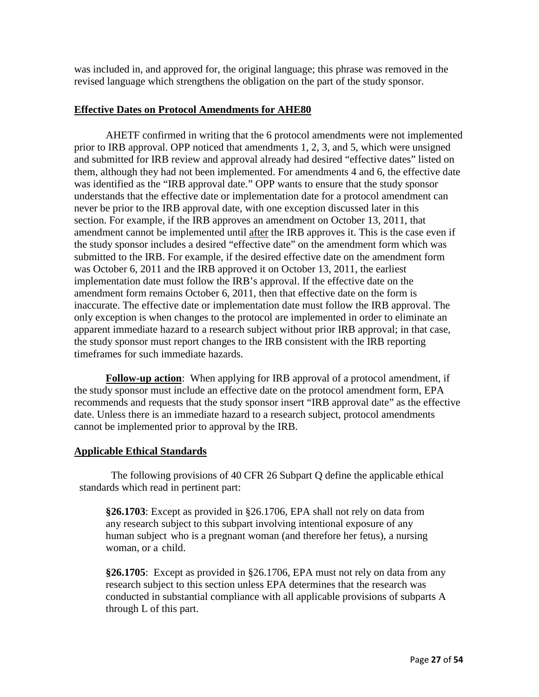was included in, and approved for, the original language; this phrase was removed in the revised language which strengthens the obligation on the part of the study sponsor.

#### **Effective Dates on Protocol Amendments for AHE80**

AHETF confirmed in writing that the 6 protocol amendments were not implemented prior to IRB approval. OPP noticed that amendments 1, 2, 3, and 5, which were unsigned and submitted for IRB review and approval already had desired "effective dates" listed on them, although they had not been implemented. For amendments 4 and 6, the effective date was identified as the "IRB approval date." OPP wants to ensure that the study sponsor understands that the effective date or implementation date for a protocol amendment can never be prior to the IRB approval date, with one exception discussed later in this section. For example, if the IRB approves an amendment on October 13, 2011, that amendment cannot be implemented until after the IRB approves it. This is the case even if the study sponsor includes a desired "effective date" on the amendment form which was submitted to the IRB. For example, if the desired effective date on the amendment form was October 6, 2011 and the IRB approved it on October 13, 2011, the earliest implementation date must follow the IRB's approval. If the effective date on the amendment form remains October 6, 2011, then that effective date on the form is inaccurate. The effective date or implementation date must follow the IRB approval. The only exception is when changes to the protocol are implemented in order to eliminate an apparent immediate hazard to a research subject without prior IRB approval; in that case, the study sponsor must report changes to the IRB consistent with the IRB reporting timeframes for such immediate hazards.

**Follow-up action**: When applying for IRB approval of a protocol amendment, if the study sponsor must include an effective date on the protocol amendment form, EPA recommends and requests that the study sponsor insert "IRB approval date" as the effective date. Unless there is an immediate hazard to a research subject, protocol amendments cannot be implemented prior to approval by the IRB.

#### **Applicable Ethical Standards**

The following provisions of 40 CFR 26 Subpart Q define the applicable ethical standards which read in pertinent part:

**§26.1703**: Except as provided in §26.1706, EPA shall not rely on data from any research subject to this subpart involving intentional exposure of any human subject who is a pregnant woman (and therefore her fetus), a nursing woman, or a child.

**§26.1705**: Except as provided in §26.1706, EPA must not rely on data from any research subject to this section unless EPA determines that the research was conducted in substantial compliance with all applicable provisions of subparts A through L of this part.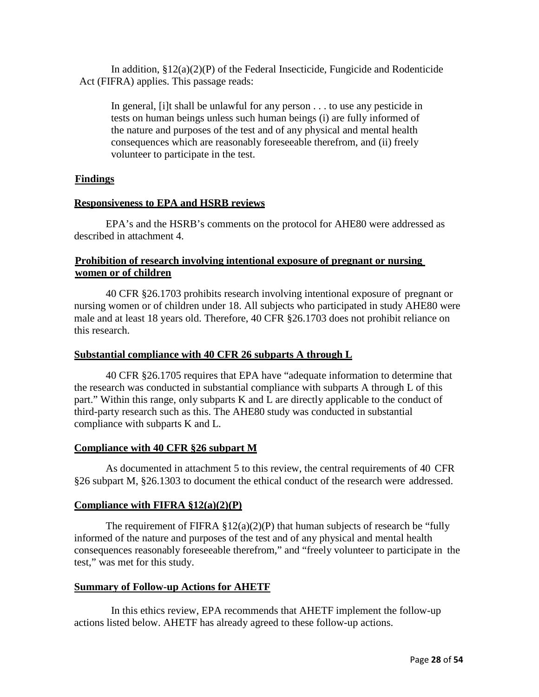In addition,  $\S 12(a)(2)(P)$  of the Federal Insecticide, Fungicide and Rodenticide Act (FIFRA) applies. This passage reads:

In general, [i]t shall be unlawful for any person . . . to use any pesticide in tests on human beings unless such human beings (i) are fully informed of the nature and purposes of the test and of any physical and mental health consequences which are reasonably foreseeable therefrom, and (ii) freely volunteer to participate in the test.

#### **Findings**

#### **Responsiveness to EPA and HSRB reviews**

EPA's and the HSRB's comments on the protocol for AHE80 were addressed as described in attachment 4.

#### **Prohibition of research involving intentional exposure of pregnant or nursing women or of children**

40 CFR §26.1703 prohibits research involving intentional exposure of pregnant or nursing women or of children under 18. All subjects who participated in study AHE80 were male and at least 18 years old. Therefore, 40 CFR §26.1703 does not prohibit reliance on this research.

#### **Substantial compliance with 40 CFR 26 subparts A through L**

40 CFR §26.1705 requires that EPA have "adequate information to determine that the research was conducted in substantial compliance with subparts A through L of this part." Within this range, only subparts K and L are directly applicable to the conduct of third-party research such as this. The AHE80 study was conducted in substantial compliance with subparts K and L.

#### **Compliance with 40 CFR §26 subpart M**

As documented in attachment 5 to this review, the central requirements of 40 CFR §26 subpart M, §26.1303 to document the ethical conduct of the research were addressed.

#### **Compliance with FIFRA §12(a)(2)(P)**

The requirement of FIFRA  $\S 12(a)(2)(P)$  that human subjects of research be "fully informed of the nature and purposes of the test and of any physical and mental health consequences reasonably foreseeable therefrom," and "freely volunteer to participate in the test," was met for this study.

#### **Summary of Follow-up Actions for AHETF**

In this ethics review, EPA recommends that AHETF implement the follow-up actions listed below. AHETF has already agreed to these follow-up actions.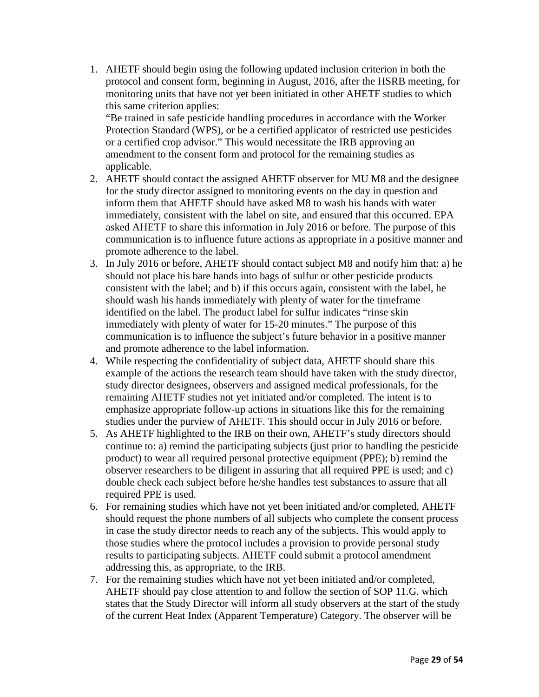1. AHETF should begin using the following updated inclusion criterion in both the protocol and consent form, beginning in August, 2016, after the HSRB meeting, for monitoring units that have not yet been initiated in other AHETF studies to which this same criterion applies:

"Be trained in safe pesticide handling procedures in accordance with the Worker Protection Standard (WPS), or be a certified applicator of restricted use pesticides or a certified crop advisor." This would necessitate the IRB approving an amendment to the consent form and protocol for the remaining studies as applicable.

- 2. AHETF should contact the assigned AHETF observer for MU M8 and the designee for the study director assigned to monitoring events on the day in question and inform them that AHETF should have asked M8 to wash his hands with water immediately, consistent with the label on site, and ensured that this occurred. EPA asked AHETF to share this information in July 2016 or before. The purpose of this communication is to influence future actions as appropriate in a positive manner and promote adherence to the label.
- 3. In July 2016 or before, AHETF should contact subject M8 and notify him that: a) he should not place his bare hands into bags of sulfur or other pesticide products consistent with the label; and b) if this occurs again, consistent with the label, he should wash his hands immediately with plenty of water for the timeframe identified on the label. The product label for sulfur indicates "rinse skin immediately with plenty of water for 15-20 minutes." The purpose of this communication is to influence the subject's future behavior in a positive manner and promote adherence to the label information.
- 4. While respecting the confidentiality of subject data, AHETF should share this example of the actions the research team should have taken with the study director, study director designees, observers and assigned medical professionals, for the remaining AHETF studies not yet initiated and/or completed. The intent is to emphasize appropriate follow-up actions in situations like this for the remaining studies under the purview of AHETF. This should occur in July 2016 or before.
- 5. As AHETF highlighted to the IRB on their own, AHETF's study directors should continue to: a) remind the participating subjects (just prior to handling the pesticide product) to wear all required personal protective equipment (PPE); b) remind the observer researchers to be diligent in assuring that all required PPE is used; and c) double check each subject before he/she handles test substances to assure that all required PPE is used.
- 6. For remaining studies which have not yet been initiated and/or completed, AHETF should request the phone numbers of all subjects who complete the consent process in case the study director needs to reach any of the subjects. This would apply to those studies where the protocol includes a provision to provide personal study results to participating subjects. AHETF could submit a protocol amendment addressing this, as appropriate, to the IRB.
- 7. For the remaining studies which have not yet been initiated and/or completed, AHETF should pay close attention to and follow the section of SOP 11.G. which states that the Study Director will inform all study observers at the start of the study of the current Heat Index (Apparent Temperature) Category. The observer will be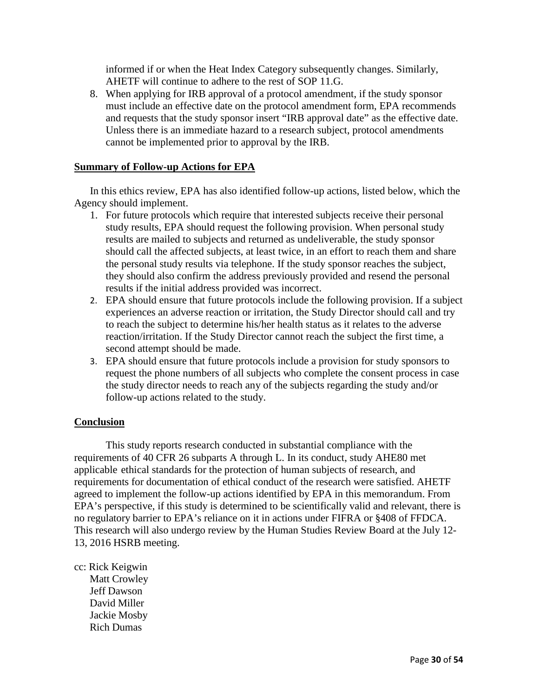informed if or when the Heat Index Category subsequently changes. Similarly, AHETF will continue to adhere to the rest of SOP 11.G.

8. When applying for IRB approval of a protocol amendment, if the study sponsor must include an effective date on the protocol amendment form, EPA recommends and requests that the study sponsor insert "IRB approval date" as the effective date. Unless there is an immediate hazard to a research subject, protocol amendments cannot be implemented prior to approval by the IRB.

#### **Summary of Follow-up Actions for EPA**

In this ethics review, EPA has also identified follow-up actions, listed below, which the Agency should implement.

- 1. For future protocols which require that interested subjects receive their personal study results, EPA should request the following provision. When personal study results are mailed to subjects and returned as undeliverable, the study sponsor should call the affected subjects, at least twice, in an effort to reach them and share the personal study results via telephone. If the study sponsor reaches the subject, they should also confirm the address previously provided and resend the personal results if the initial address provided was incorrect.
- 2. EPA should ensure that future protocols include the following provision. If a subject experiences an adverse reaction or irritation, the Study Director should call and try to reach the subject to determine his/her health status as it relates to the adverse reaction/irritation. If the Study Director cannot reach the subject the first time, a second attempt should be made.
- 3. EPA should ensure that future protocols include a provision for study sponsors to request the phone numbers of all subjects who complete the consent process in case the study director needs to reach any of the subjects regarding the study and/or follow-up actions related to the study.

#### **Conclusion**

This study reports research conducted in substantial compliance with the requirements of 40 CFR 26 subparts A through L. In its conduct, study AHE80 met applicable ethical standards for the protection of human subjects of research, and requirements for documentation of ethical conduct of the research were satisfied. AHETF agreed to implement the follow-up actions identified by EPA in this memorandum. From EPA's perspective, if this study is determined to be scientifically valid and relevant, there is no regulatory barrier to EPA's reliance on it in actions under FIFRA or §408 of FFDCA. This research will also undergo review by the Human Studies Review Board at the July 12- 13, 2016 HSRB meeting.

cc: Rick Keigwin Matt Crowley Jeff Dawson David Miller Jackie Mosby Rich Dumas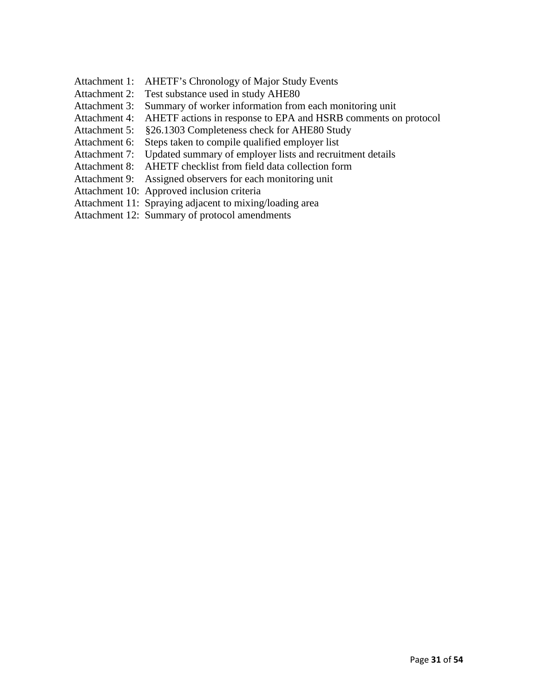- Attachment 1: AHETF's Chronology of Major Study Events
- Attachment 2: Test substance used in study AHE80
- Attachment 3: Summary of worker information from each monitoring unit
- Attachment 4: AHETF actions in response to EPA and HSRB comments on protocol
- Attachment 5: §26.1303 Completeness check for AHE80 Study
- Attachment 6: Steps taken to compile qualified employer list
- Attachment 7: Updated summary of employer lists and recruitment details
- Attachment 8: AHETF checklist from field data collection form
- Attachment 9: Assigned observers for each monitoring unit
- Attachment 10: Approved inclusion criteria
- Attachment 11: Spraying adjacent to mixing/loading area
- Attachment 12: Summary of protocol amendments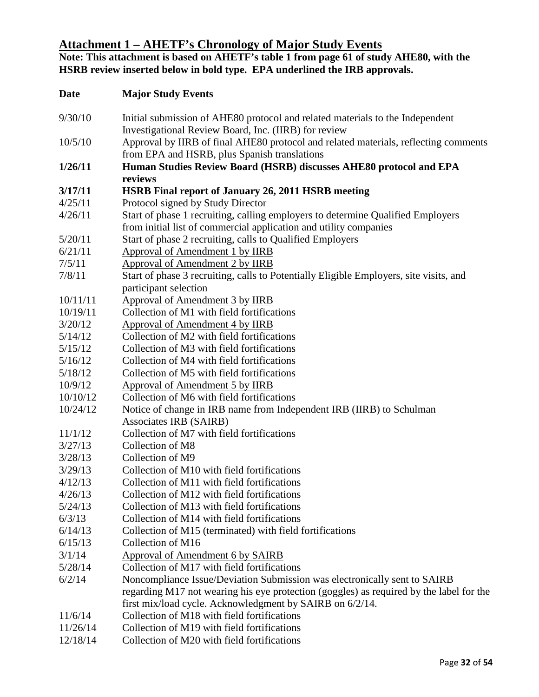# **Attachment 1 – AHETF's Chronology of Major Study Events**

**Note: This attachment is based on AHETF's table 1 from page 61 of study AHE80, with the HSRB review inserted below in bold type. EPA underlined the IRB approvals.**

| Initial submission of AHE80 protocol and related materials to the Independent<br>Investigational Review Board, Inc. (IIRB) for review<br>Approval by IIRB of final AHE80 protocol and related materials, reflecting comments<br>10/5/10<br>from EPA and HSRB, plus Spanish translations<br>Human Studies Review Board (HSRB) discusses AHE80 protocol and EPA<br>1/26/11<br>reviews<br><b>HSRB</b> Final report of January 26, 2011 HSRB meeting<br>3/17/11<br>Protocol signed by Study Director<br>4/25/11<br>Start of phase 1 recruiting, calling employers to determine Qualified Employers<br>4/26/11<br>from initial list of commercial application and utility companies<br>Start of phase 2 recruiting, calls to Qualified Employers<br>5/20/11<br>6/21/11<br>Approval of Amendment 1 by IIRB<br>Approval of Amendment 2 by IIRB<br>7/5/11<br>7/8/11<br>Start of phase 3 recruiting, calls to Potentially Eligible Employers, site visits, and<br>participant selection<br><b>Approval of Amendment 3 by IIRB</b><br>10/11/11<br>Collection of M1 with field fortifications<br>10/19/11<br>3/20/12<br>Approval of Amendment 4 by IIRB<br>Collection of M2 with field fortifications<br>5/14/12<br>5/15/12<br>Collection of M3 with field fortifications<br>5/16/12<br>Collection of M4 with field fortifications<br>Collection of M5 with field fortifications<br>5/18/12<br>10/9/12<br>Approval of Amendment 5 by IIRB<br>10/10/12<br>Collection of M6 with field fortifications<br>10/24/12<br>Notice of change in IRB name from Independent IRB (IIRB) to Schulman<br><b>Associates IRB (SAIRB)</b><br>Collection of M7 with field fortifications<br>11/1/12<br>3/27/13<br>Collection of M8<br>Collection of M9<br>3/29/13<br>Collection of M10 with field fortifications<br>Collection of M11 with field fortifications<br>Collection of M12 with field fortifications<br>4/26/13<br>Collection of M13 with field fortifications<br>5/24/13<br>6/3/13<br>Collection of M14 with field fortifications<br>Collection of M15 (terminated) with field fortifications<br>Collection of M16<br>6/15/13<br>3/1/14<br><b>Approval of Amendment 6 by SAIRB</b><br>5/28/14<br>Collection of M17 with field fortifications<br>6/2/14<br>Noncompliance Issue/Deviation Submission was electronically sent to SAIRB<br>regarding M17 not wearing his eye protection (goggles) as required by the label for the<br>first mix/load cycle. Acknowledgment by SAIRB on 6/2/14.<br>Collection of M18 with field fortifications<br>11/6/14<br>Collection of M19 with field fortifications<br>11/26/14<br>12/18/14<br>Collection of M20 with field fortifications | <b>Date</b> | <b>Major Study Events</b> |
|----------------------------------------------------------------------------------------------------------------------------------------------------------------------------------------------------------------------------------------------------------------------------------------------------------------------------------------------------------------------------------------------------------------------------------------------------------------------------------------------------------------------------------------------------------------------------------------------------------------------------------------------------------------------------------------------------------------------------------------------------------------------------------------------------------------------------------------------------------------------------------------------------------------------------------------------------------------------------------------------------------------------------------------------------------------------------------------------------------------------------------------------------------------------------------------------------------------------------------------------------------------------------------------------------------------------------------------------------------------------------------------------------------------------------------------------------------------------------------------------------------------------------------------------------------------------------------------------------------------------------------------------------------------------------------------------------------------------------------------------------------------------------------------------------------------------------------------------------------------------------------------------------------------------------------------------------------------------------------------------------------------------------------------------------------------------------------------------------------------------------------------------------------------------------------------------------------------------------------------------------------------------------------------------------------------------------------------------------------------------------------------------------------------------------------------------------------------------------------------------------------------------------------------------------------------------------------------------------------------------------------------------------------|-------------|---------------------------|
|                                                                                                                                                                                                                                                                                                                                                                                                                                                                                                                                                                                                                                                                                                                                                                                                                                                                                                                                                                                                                                                                                                                                                                                                                                                                                                                                                                                                                                                                                                                                                                                                                                                                                                                                                                                                                                                                                                                                                                                                                                                                                                                                                                                                                                                                                                                                                                                                                                                                                                                                                                                                                                                          | 9/30/10     |                           |
|                                                                                                                                                                                                                                                                                                                                                                                                                                                                                                                                                                                                                                                                                                                                                                                                                                                                                                                                                                                                                                                                                                                                                                                                                                                                                                                                                                                                                                                                                                                                                                                                                                                                                                                                                                                                                                                                                                                                                                                                                                                                                                                                                                                                                                                                                                                                                                                                                                                                                                                                                                                                                                                          |             |                           |
|                                                                                                                                                                                                                                                                                                                                                                                                                                                                                                                                                                                                                                                                                                                                                                                                                                                                                                                                                                                                                                                                                                                                                                                                                                                                                                                                                                                                                                                                                                                                                                                                                                                                                                                                                                                                                                                                                                                                                                                                                                                                                                                                                                                                                                                                                                                                                                                                                                                                                                                                                                                                                                                          |             |                           |
|                                                                                                                                                                                                                                                                                                                                                                                                                                                                                                                                                                                                                                                                                                                                                                                                                                                                                                                                                                                                                                                                                                                                                                                                                                                                                                                                                                                                                                                                                                                                                                                                                                                                                                                                                                                                                                                                                                                                                                                                                                                                                                                                                                                                                                                                                                                                                                                                                                                                                                                                                                                                                                                          |             |                           |
|                                                                                                                                                                                                                                                                                                                                                                                                                                                                                                                                                                                                                                                                                                                                                                                                                                                                                                                                                                                                                                                                                                                                                                                                                                                                                                                                                                                                                                                                                                                                                                                                                                                                                                                                                                                                                                                                                                                                                                                                                                                                                                                                                                                                                                                                                                                                                                                                                                                                                                                                                                                                                                                          |             |                           |
|                                                                                                                                                                                                                                                                                                                                                                                                                                                                                                                                                                                                                                                                                                                                                                                                                                                                                                                                                                                                                                                                                                                                                                                                                                                                                                                                                                                                                                                                                                                                                                                                                                                                                                                                                                                                                                                                                                                                                                                                                                                                                                                                                                                                                                                                                                                                                                                                                                                                                                                                                                                                                                                          |             |                           |
|                                                                                                                                                                                                                                                                                                                                                                                                                                                                                                                                                                                                                                                                                                                                                                                                                                                                                                                                                                                                                                                                                                                                                                                                                                                                                                                                                                                                                                                                                                                                                                                                                                                                                                                                                                                                                                                                                                                                                                                                                                                                                                                                                                                                                                                                                                                                                                                                                                                                                                                                                                                                                                                          |             |                           |
|                                                                                                                                                                                                                                                                                                                                                                                                                                                                                                                                                                                                                                                                                                                                                                                                                                                                                                                                                                                                                                                                                                                                                                                                                                                                                                                                                                                                                                                                                                                                                                                                                                                                                                                                                                                                                                                                                                                                                                                                                                                                                                                                                                                                                                                                                                                                                                                                                                                                                                                                                                                                                                                          |             |                           |
|                                                                                                                                                                                                                                                                                                                                                                                                                                                                                                                                                                                                                                                                                                                                                                                                                                                                                                                                                                                                                                                                                                                                                                                                                                                                                                                                                                                                                                                                                                                                                                                                                                                                                                                                                                                                                                                                                                                                                                                                                                                                                                                                                                                                                                                                                                                                                                                                                                                                                                                                                                                                                                                          |             |                           |
|                                                                                                                                                                                                                                                                                                                                                                                                                                                                                                                                                                                                                                                                                                                                                                                                                                                                                                                                                                                                                                                                                                                                                                                                                                                                                                                                                                                                                                                                                                                                                                                                                                                                                                                                                                                                                                                                                                                                                                                                                                                                                                                                                                                                                                                                                                                                                                                                                                                                                                                                                                                                                                                          |             |                           |
|                                                                                                                                                                                                                                                                                                                                                                                                                                                                                                                                                                                                                                                                                                                                                                                                                                                                                                                                                                                                                                                                                                                                                                                                                                                                                                                                                                                                                                                                                                                                                                                                                                                                                                                                                                                                                                                                                                                                                                                                                                                                                                                                                                                                                                                                                                                                                                                                                                                                                                                                                                                                                                                          |             |                           |
|                                                                                                                                                                                                                                                                                                                                                                                                                                                                                                                                                                                                                                                                                                                                                                                                                                                                                                                                                                                                                                                                                                                                                                                                                                                                                                                                                                                                                                                                                                                                                                                                                                                                                                                                                                                                                                                                                                                                                                                                                                                                                                                                                                                                                                                                                                                                                                                                                                                                                                                                                                                                                                                          |             |                           |
|                                                                                                                                                                                                                                                                                                                                                                                                                                                                                                                                                                                                                                                                                                                                                                                                                                                                                                                                                                                                                                                                                                                                                                                                                                                                                                                                                                                                                                                                                                                                                                                                                                                                                                                                                                                                                                                                                                                                                                                                                                                                                                                                                                                                                                                                                                                                                                                                                                                                                                                                                                                                                                                          |             |                           |
|                                                                                                                                                                                                                                                                                                                                                                                                                                                                                                                                                                                                                                                                                                                                                                                                                                                                                                                                                                                                                                                                                                                                                                                                                                                                                                                                                                                                                                                                                                                                                                                                                                                                                                                                                                                                                                                                                                                                                                                                                                                                                                                                                                                                                                                                                                                                                                                                                                                                                                                                                                                                                                                          |             |                           |
|                                                                                                                                                                                                                                                                                                                                                                                                                                                                                                                                                                                                                                                                                                                                                                                                                                                                                                                                                                                                                                                                                                                                                                                                                                                                                                                                                                                                                                                                                                                                                                                                                                                                                                                                                                                                                                                                                                                                                                                                                                                                                                                                                                                                                                                                                                                                                                                                                                                                                                                                                                                                                                                          |             |                           |
|                                                                                                                                                                                                                                                                                                                                                                                                                                                                                                                                                                                                                                                                                                                                                                                                                                                                                                                                                                                                                                                                                                                                                                                                                                                                                                                                                                                                                                                                                                                                                                                                                                                                                                                                                                                                                                                                                                                                                                                                                                                                                                                                                                                                                                                                                                                                                                                                                                                                                                                                                                                                                                                          |             |                           |
|                                                                                                                                                                                                                                                                                                                                                                                                                                                                                                                                                                                                                                                                                                                                                                                                                                                                                                                                                                                                                                                                                                                                                                                                                                                                                                                                                                                                                                                                                                                                                                                                                                                                                                                                                                                                                                                                                                                                                                                                                                                                                                                                                                                                                                                                                                                                                                                                                                                                                                                                                                                                                                                          |             |                           |
|                                                                                                                                                                                                                                                                                                                                                                                                                                                                                                                                                                                                                                                                                                                                                                                                                                                                                                                                                                                                                                                                                                                                                                                                                                                                                                                                                                                                                                                                                                                                                                                                                                                                                                                                                                                                                                                                                                                                                                                                                                                                                                                                                                                                                                                                                                                                                                                                                                                                                                                                                                                                                                                          |             |                           |
|                                                                                                                                                                                                                                                                                                                                                                                                                                                                                                                                                                                                                                                                                                                                                                                                                                                                                                                                                                                                                                                                                                                                                                                                                                                                                                                                                                                                                                                                                                                                                                                                                                                                                                                                                                                                                                                                                                                                                                                                                                                                                                                                                                                                                                                                                                                                                                                                                                                                                                                                                                                                                                                          |             |                           |
|                                                                                                                                                                                                                                                                                                                                                                                                                                                                                                                                                                                                                                                                                                                                                                                                                                                                                                                                                                                                                                                                                                                                                                                                                                                                                                                                                                                                                                                                                                                                                                                                                                                                                                                                                                                                                                                                                                                                                                                                                                                                                                                                                                                                                                                                                                                                                                                                                                                                                                                                                                                                                                                          |             |                           |
|                                                                                                                                                                                                                                                                                                                                                                                                                                                                                                                                                                                                                                                                                                                                                                                                                                                                                                                                                                                                                                                                                                                                                                                                                                                                                                                                                                                                                                                                                                                                                                                                                                                                                                                                                                                                                                                                                                                                                                                                                                                                                                                                                                                                                                                                                                                                                                                                                                                                                                                                                                                                                                                          |             |                           |
|                                                                                                                                                                                                                                                                                                                                                                                                                                                                                                                                                                                                                                                                                                                                                                                                                                                                                                                                                                                                                                                                                                                                                                                                                                                                                                                                                                                                                                                                                                                                                                                                                                                                                                                                                                                                                                                                                                                                                                                                                                                                                                                                                                                                                                                                                                                                                                                                                                                                                                                                                                                                                                                          |             |                           |
|                                                                                                                                                                                                                                                                                                                                                                                                                                                                                                                                                                                                                                                                                                                                                                                                                                                                                                                                                                                                                                                                                                                                                                                                                                                                                                                                                                                                                                                                                                                                                                                                                                                                                                                                                                                                                                                                                                                                                                                                                                                                                                                                                                                                                                                                                                                                                                                                                                                                                                                                                                                                                                                          |             |                           |
|                                                                                                                                                                                                                                                                                                                                                                                                                                                                                                                                                                                                                                                                                                                                                                                                                                                                                                                                                                                                                                                                                                                                                                                                                                                                                                                                                                                                                                                                                                                                                                                                                                                                                                                                                                                                                                                                                                                                                                                                                                                                                                                                                                                                                                                                                                                                                                                                                                                                                                                                                                                                                                                          | 3/28/13     |                           |
|                                                                                                                                                                                                                                                                                                                                                                                                                                                                                                                                                                                                                                                                                                                                                                                                                                                                                                                                                                                                                                                                                                                                                                                                                                                                                                                                                                                                                                                                                                                                                                                                                                                                                                                                                                                                                                                                                                                                                                                                                                                                                                                                                                                                                                                                                                                                                                                                                                                                                                                                                                                                                                                          |             |                           |
|                                                                                                                                                                                                                                                                                                                                                                                                                                                                                                                                                                                                                                                                                                                                                                                                                                                                                                                                                                                                                                                                                                                                                                                                                                                                                                                                                                                                                                                                                                                                                                                                                                                                                                                                                                                                                                                                                                                                                                                                                                                                                                                                                                                                                                                                                                                                                                                                                                                                                                                                                                                                                                                          | 4/12/13     |                           |
|                                                                                                                                                                                                                                                                                                                                                                                                                                                                                                                                                                                                                                                                                                                                                                                                                                                                                                                                                                                                                                                                                                                                                                                                                                                                                                                                                                                                                                                                                                                                                                                                                                                                                                                                                                                                                                                                                                                                                                                                                                                                                                                                                                                                                                                                                                                                                                                                                                                                                                                                                                                                                                                          |             |                           |
|                                                                                                                                                                                                                                                                                                                                                                                                                                                                                                                                                                                                                                                                                                                                                                                                                                                                                                                                                                                                                                                                                                                                                                                                                                                                                                                                                                                                                                                                                                                                                                                                                                                                                                                                                                                                                                                                                                                                                                                                                                                                                                                                                                                                                                                                                                                                                                                                                                                                                                                                                                                                                                                          |             |                           |
|                                                                                                                                                                                                                                                                                                                                                                                                                                                                                                                                                                                                                                                                                                                                                                                                                                                                                                                                                                                                                                                                                                                                                                                                                                                                                                                                                                                                                                                                                                                                                                                                                                                                                                                                                                                                                                                                                                                                                                                                                                                                                                                                                                                                                                                                                                                                                                                                                                                                                                                                                                                                                                                          |             |                           |
|                                                                                                                                                                                                                                                                                                                                                                                                                                                                                                                                                                                                                                                                                                                                                                                                                                                                                                                                                                                                                                                                                                                                                                                                                                                                                                                                                                                                                                                                                                                                                                                                                                                                                                                                                                                                                                                                                                                                                                                                                                                                                                                                                                                                                                                                                                                                                                                                                                                                                                                                                                                                                                                          | 6/14/13     |                           |
|                                                                                                                                                                                                                                                                                                                                                                                                                                                                                                                                                                                                                                                                                                                                                                                                                                                                                                                                                                                                                                                                                                                                                                                                                                                                                                                                                                                                                                                                                                                                                                                                                                                                                                                                                                                                                                                                                                                                                                                                                                                                                                                                                                                                                                                                                                                                                                                                                                                                                                                                                                                                                                                          |             |                           |
|                                                                                                                                                                                                                                                                                                                                                                                                                                                                                                                                                                                                                                                                                                                                                                                                                                                                                                                                                                                                                                                                                                                                                                                                                                                                                                                                                                                                                                                                                                                                                                                                                                                                                                                                                                                                                                                                                                                                                                                                                                                                                                                                                                                                                                                                                                                                                                                                                                                                                                                                                                                                                                                          |             |                           |
|                                                                                                                                                                                                                                                                                                                                                                                                                                                                                                                                                                                                                                                                                                                                                                                                                                                                                                                                                                                                                                                                                                                                                                                                                                                                                                                                                                                                                                                                                                                                                                                                                                                                                                                                                                                                                                                                                                                                                                                                                                                                                                                                                                                                                                                                                                                                                                                                                                                                                                                                                                                                                                                          |             |                           |
|                                                                                                                                                                                                                                                                                                                                                                                                                                                                                                                                                                                                                                                                                                                                                                                                                                                                                                                                                                                                                                                                                                                                                                                                                                                                                                                                                                                                                                                                                                                                                                                                                                                                                                                                                                                                                                                                                                                                                                                                                                                                                                                                                                                                                                                                                                                                                                                                                                                                                                                                                                                                                                                          |             |                           |
|                                                                                                                                                                                                                                                                                                                                                                                                                                                                                                                                                                                                                                                                                                                                                                                                                                                                                                                                                                                                                                                                                                                                                                                                                                                                                                                                                                                                                                                                                                                                                                                                                                                                                                                                                                                                                                                                                                                                                                                                                                                                                                                                                                                                                                                                                                                                                                                                                                                                                                                                                                                                                                                          |             |                           |
|                                                                                                                                                                                                                                                                                                                                                                                                                                                                                                                                                                                                                                                                                                                                                                                                                                                                                                                                                                                                                                                                                                                                                                                                                                                                                                                                                                                                                                                                                                                                                                                                                                                                                                                                                                                                                                                                                                                                                                                                                                                                                                                                                                                                                                                                                                                                                                                                                                                                                                                                                                                                                                                          |             |                           |
|                                                                                                                                                                                                                                                                                                                                                                                                                                                                                                                                                                                                                                                                                                                                                                                                                                                                                                                                                                                                                                                                                                                                                                                                                                                                                                                                                                                                                                                                                                                                                                                                                                                                                                                                                                                                                                                                                                                                                                                                                                                                                                                                                                                                                                                                                                                                                                                                                                                                                                                                                                                                                                                          |             |                           |
|                                                                                                                                                                                                                                                                                                                                                                                                                                                                                                                                                                                                                                                                                                                                                                                                                                                                                                                                                                                                                                                                                                                                                                                                                                                                                                                                                                                                                                                                                                                                                                                                                                                                                                                                                                                                                                                                                                                                                                                                                                                                                                                                                                                                                                                                                                                                                                                                                                                                                                                                                                                                                                                          |             |                           |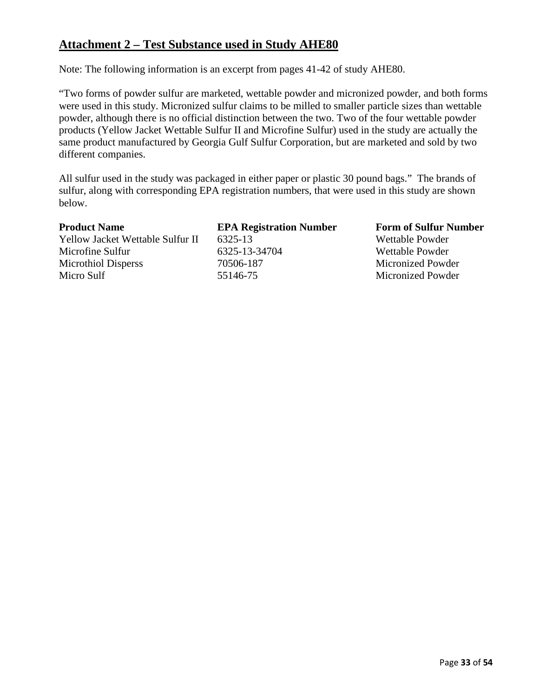# **Attachment 2 – Test Substance used in Study AHE80**

Note: The following information is an excerpt from pages 41-42 of study AHE80.

"Two forms of powder sulfur are marketed, wettable powder and micronized powder, and both forms were used in this study. Micronized sulfur claims to be milled to smaller particle sizes than wettable powder, although there is no official distinction between the two. Two of the four wettable powder products (Yellow Jacket Wettable Sulfur II and Microfine Sulfur) used in the study are actually the same product manufactured by Georgia Gulf Sulfur Corporation, but are marketed and sold by two different companies.

All sulfur used in the study was packaged in either paper or plastic 30 pound bags." The brands of sulfur, along with corresponding EPA registration numbers, that were used in this study are shown below.

Yellow Jacket Wettable Sulfur II 6325-13 Wettable Powder Microfine Sulfur 6325-13-34704 Wettable Powder Microthiol Disperss 70506-187 Micronized Powder Micro Sulf 55146-75 Micronized Powder

**Product Name 6 EPA Registration Number 6 Form of Sulfur Number**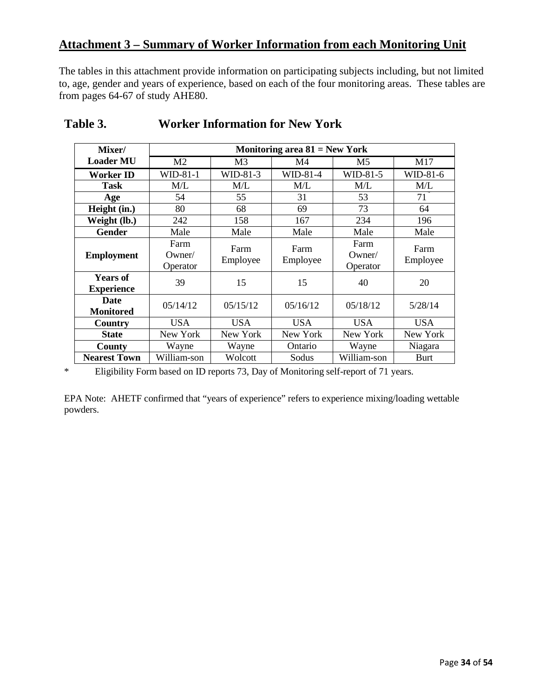# **Attachment 3 – Summary of Worker Information from each Monitoring Unit**

The tables in this attachment provide information on participating subjects including, but not limited to, age, gender and years of experience, based on each of the four monitoring areas. These tables are from pages 64-67 of study AHE80.

| Mixer/                               | Monitoring area $81$ = New York |                  |                  |                               |                   |
|--------------------------------------|---------------------------------|------------------|------------------|-------------------------------|-------------------|
| <b>Loader MU</b>                     | M <sub>2</sub>                  | M <sub>3</sub>   | M4               | M5                            | M17               |
| <b>Worker ID</b>                     | WID-81-1                        | $WD-81-3$        | WID-81-4         | WID-81-5                      | WID-81-6          |
| <b>Task</b>                          | M/L                             | M/L              | M/L              | M/L                           | M/L               |
| Age                                  | 54                              | 55               | 31               | 53                            | $71$ <sup>"</sup> |
| Height (in.)                         | 80                              | 68               | 69               | 73                            | 64                |
| Weight (lb.)                         | 242                             | 158              | 167              | 234                           | 196               |
| Gender                               | Male                            | Male             | Male             | Male                          | Male              |
| <b>Employment</b>                    | Farm<br>$O$ wner/<br>Operator   | Farm<br>Employee | Farm<br>Employee | Farm<br>$O$ wner/<br>Operator | Farm<br>Employee  |
| <b>Years of</b><br><b>Experience</b> | 39                              | 15               | 15               | 40                            | 20                |
| <b>Date</b><br><b>Monitored</b>      | 05/14/12                        | 05/15/12         | 05/16/12         | 05/18/12                      | 5/28/14           |
| Country                              | USA                             | <b>USA</b>       | <b>USA</b>       | <b>USA</b>                    | <b>USA</b>        |
| <b>State</b>                         | New York                        | New York         | New York         | New York                      | New York          |
| County                               | Wayne                           | Wayne            | Ontario          | Wayne                         | Niagara           |
| <b>Nearest Town</b>                  | William-son                     | Wolcott          | Sodus            | William-son                   | <b>Burt</b>       |

# **Table 3. Worker Information for New York**

\* Eligibility Form based on ID reports 73, Day of Monitoring self-report of 71 years.

EPA Note: AHETF confirmed that "years of experience" refers to experience mixing/loading wettable powders.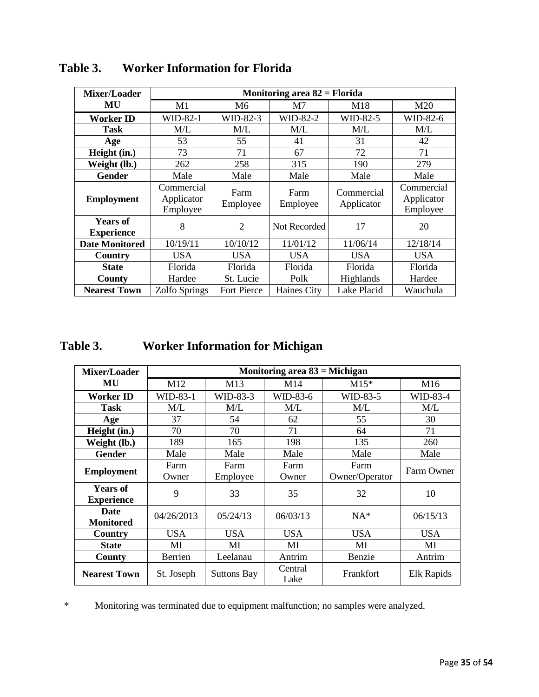| Mixer/Loader                         | Monitoring area 82 = Florida         |                  |                  |                          |                                      |  |
|--------------------------------------|--------------------------------------|------------------|------------------|--------------------------|--------------------------------------|--|
| MU                                   | M1                                   | M6               | M7               | M18                      | M20                                  |  |
| Worker ID                            | WID-82-1                             | WID-82-3         | WID-82-2         | WID-82-5                 | WID-82-6                             |  |
| <b>Task</b>                          | M/L                                  | M/L              | M/L              | M/L                      | M/L                                  |  |
| Age                                  | 53                                   | 55               | 41               | 31                       | 42                                   |  |
| Height (in.)                         | 73                                   | 71               | 67               | 72                       | 71                                   |  |
| Weight (lb.)                         | 262                                  | 258              | 315              | 190                      | 279                                  |  |
| <b>Gender</b>                        | Male                                 | Male             | Male             | Male                     | Male                                 |  |
| <b>Employment</b>                    | Commercial<br>Applicator<br>Employee | Farm<br>Employee | Farm<br>Employee | Commercial<br>Applicator | Commercial<br>Applicator<br>Employee |  |
| <b>Years of</b><br><b>Experience</b> | 8                                    | $\overline{2}$   | Not Recorded     | 17                       | 20                                   |  |
| <b>Date Monitored</b>                | 10/19/11                             | 10/10/12         | 11/01/12         | 11/06/14                 | 12/18/14                             |  |
| Country                              | USA                                  | <b>USA</b>       | <b>USA</b>       | <b>USA</b>               | <b>USA</b>                           |  |
| <b>State</b>                         | Florida                              | Florida          | Florida          | Florida                  | Florida                              |  |
| County                               | Hardee                               | St. Lucie        | Polk             | Highlands                | Hardee                               |  |
| <b>Nearest Town</b>                  | Zolfo Springs                        | Fort Pierce      | Haines City      | Lake Placid              | Wauchula                             |  |

# **Table 3. Worker Information for Florida**

# **Table 3. Worker Information for Michigan**

| Mixer/Loader        | Monitoring area $83$ = Michigan |                    |                 |                |                 |
|---------------------|---------------------------------|--------------------|-----------------|----------------|-----------------|
| MU                  | M12                             | M13                | M14             | $M15*$         | M <sub>16</sub> |
| Worker ID           | WID-83-1                        | WID-83-3           | WID-83-6        | WID-83-5       | WID-83-4        |
| <b>Task</b>         | M/L                             | M/L                | M/L             | M/L            | M/L             |
| Age                 | 37                              | 54                 | 62              | 55             | 30              |
| Height (in.)        | 70                              | 70                 | 71              | 64             | 71              |
| Weight (lb.)        | 189                             | 165                | 198             | 135            | 260             |
| <b>Gender</b>       | Male                            | Male               | Male            | Male           | Male            |
|                     | Farm                            | Farm               | Farm            | Farm           | Farm Owner      |
| <b>Employment</b>   | Owner                           | Employee           | Owner           | Owner/Operator |                 |
| <b>Years of</b>     |                                 | 9<br>33            | 35              | 32             | 10              |
| <b>Experience</b>   |                                 |                    |                 |                |                 |
| Date                | 04/26/2013                      | 05/24/13           | 06/03/13        | $NA^*$         | 06/15/13        |
| <b>Monitored</b>    |                                 |                    |                 |                |                 |
| Country             | <b>USA</b>                      | <b>USA</b>         | <b>USA</b>      | USA            | <b>USA</b>      |
| <b>State</b>        | MI                              | MI                 | MI              | MI             | MI              |
| County              | Berrien                         | Leelanau           | Antrim          | Benzie         | Antrim          |
| <b>Nearest Town</b> | St. Joseph                      | <b>Suttons Bay</b> | Central<br>Lake | Frankfort      | Elk Rapids      |

\* Monitoring was terminated due to equipment malfunction; no samples were analyzed.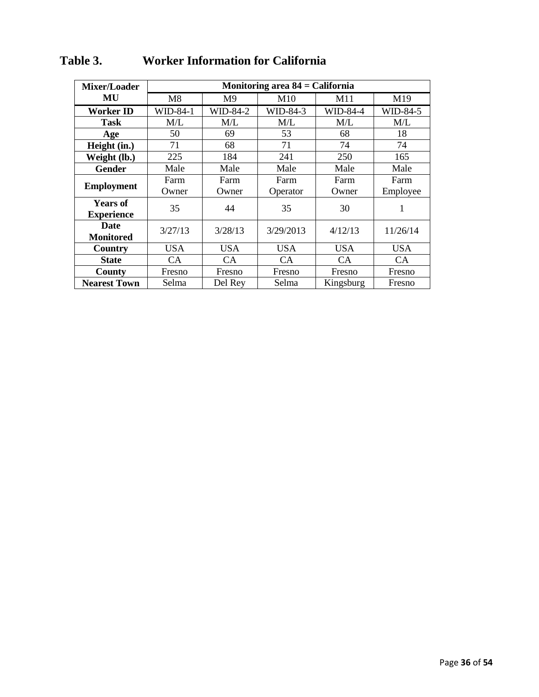| Mixer/Loader        | Monitoring area $84 =$ California |                |            |            |            |
|---------------------|-----------------------------------|----------------|------------|------------|------------|
| MU                  | M8                                | M <sub>9</sub> | M10        | M11        | M19        |
| Worker ID           | WID-84-1                          | WID-84-2       | WID-84-3   | WID-84-4   | WID-84-5   |
| <b>Task</b>         | M/L                               | M/L            | M/L        | M/L        | M/L        |
| Age                 | 50                                | 69             | 53         | 68         | 18         |
| Height (in.)        | 71                                | 68             | 71         | 74         | 74         |
| Weight (lb.)        | 225                               | 184            | 241        | 250        | 165        |
| <b>Gender</b>       | Male                              | Male           | Male       | Male       | Male       |
|                     | Farm                              | Farm           | Farm       | Farm       | Farm       |
| <b>Employment</b>   | Owner                             | Owner          | Operator   | Owner      | Employee   |
| <b>Years of</b>     |                                   | 35<br>44       | 35         | 30         | 1          |
| <b>Experience</b>   |                                   |                |            |            |            |
| <b>Date</b>         | 3/27/13                           | 3/28/13        | 3/29/2013  | 4/12/13    | 11/26/14   |
| <b>Monitored</b>    |                                   |                |            |            |            |
| Country             | USA                               | <b>USA</b>     | <b>USA</b> | <b>USA</b> | <b>USA</b> |
| <b>State</b>        | CA                                | <b>CA</b>      | <b>CA</b>  | <b>CA</b>  | CA         |
| County              | Fresno                            | Fresno         | Fresno     | Fresno     | Fresno     |
| <b>Nearest Town</b> | Selma                             | Del Rey        | Selma      | Kingsburg  | Fresno     |

# **Table 3. Worker Information for California**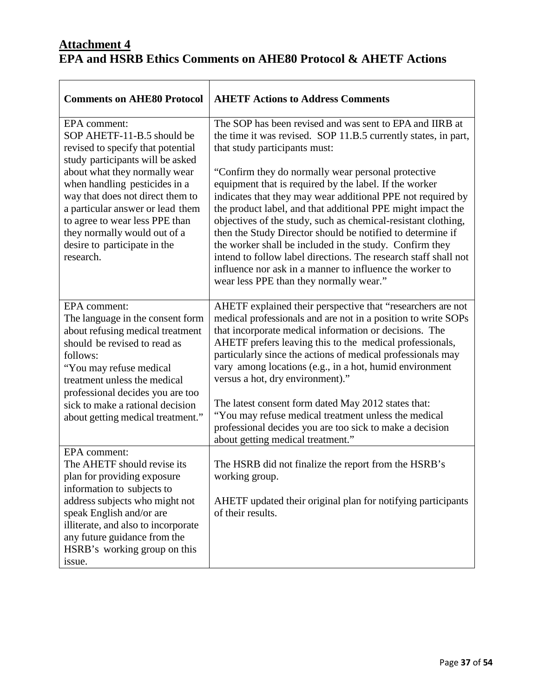# **Attachment 4 EPA and HSRB Ethics Comments on AHE80 Protocol & AHETF Actions**

| <b>Comments on AHE80 Protocol</b>                                                                                                                                                                                                                     | <b>AHETF Actions to Address Comments</b>                                                                                                                                                                                                                                                                                                                                                                                                                                                                                                                                                                        |
|-------------------------------------------------------------------------------------------------------------------------------------------------------------------------------------------------------------------------------------------------------|-----------------------------------------------------------------------------------------------------------------------------------------------------------------------------------------------------------------------------------------------------------------------------------------------------------------------------------------------------------------------------------------------------------------------------------------------------------------------------------------------------------------------------------------------------------------------------------------------------------------|
| EPA comment:<br>SOP AHETF-11-B.5 should be<br>revised to specify that potential<br>study participants will be asked                                                                                                                                   | The SOP has been revised and was sent to EPA and IIRB at<br>the time it was revised. SOP 11.B.5 currently states, in part,<br>that study participants must:                                                                                                                                                                                                                                                                                                                                                                                                                                                     |
| about what they normally wear<br>when handling pesticides in a<br>way that does not direct them to<br>a particular answer or lead them<br>to agree to wear less PPE than<br>they normally would out of a<br>desire to participate in the<br>research. | "Confirm they do normally wear personal protective"<br>equipment that is required by the label. If the worker<br>indicates that they may wear additional PPE not required by<br>the product label, and that additional PPE might impact the<br>objectives of the study, such as chemical-resistant clothing,<br>then the Study Director should be notified to determine if<br>the worker shall be included in the study. Confirm they<br>intend to follow label directions. The research staff shall not<br>influence nor ask in a manner to influence the worker to<br>wear less PPE than they normally wear." |
| EPA comment:<br>The language in the consent form<br>about refusing medical treatment<br>should be revised to read as<br>follows:<br>"You may refuse medical<br>treatment unless the medical<br>professional decides you are too                       | AHETF explained their perspective that "researchers are not<br>medical professionals and are not in a position to write SOPs<br>that incorporate medical information or decisions. The<br>AHETF prefers leaving this to the medical professionals,<br>particularly since the actions of medical professionals may<br>vary among locations (e.g., in a hot, humid environment<br>versus a hot, dry environment)."                                                                                                                                                                                                |
| sick to make a rational decision<br>about getting medical treatment."                                                                                                                                                                                 | The latest consent form dated May 2012 states that:<br>"You may refuse medical treatment unless the medical<br>professional decides you are too sick to make a decision<br>about getting medical treatment."                                                                                                                                                                                                                                                                                                                                                                                                    |
| EPA comment:<br>The AHETF should revise its<br>plan for providing exposure<br>information to subjects to                                                                                                                                              | The HSRB did not finalize the report from the HSRB's<br>working group.                                                                                                                                                                                                                                                                                                                                                                                                                                                                                                                                          |
| address subjects who might not<br>speak English and/or are<br>illiterate, and also to incorporate<br>any future guidance from the<br>HSRB's working group on this<br>issue.                                                                           | AHETF updated their original plan for notifying participants<br>of their results.                                                                                                                                                                                                                                                                                                                                                                                                                                                                                                                               |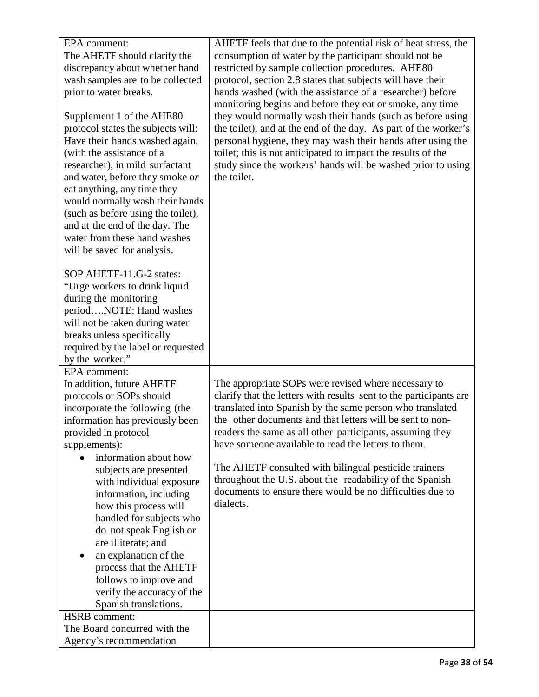| EPA comment:                                            | AHETF feels that due to the potential risk of heat stress, the     |
|---------------------------------------------------------|--------------------------------------------------------------------|
| The AHETF should clarify the                            | consumption of water by the participant should not be              |
| discrepancy about whether hand                          | restricted by sample collection procedures. AHE80                  |
| wash samples are to be collected                        | protocol, section 2.8 states that subjects will have their         |
| prior to water breaks.                                  | hands washed (with the assistance of a researcher) before          |
|                                                         | monitoring begins and before they eat or smoke, any time           |
| Supplement 1 of the AHE80                               | they would normally wash their hands (such as before using         |
| protocol states the subjects will:                      | the toilet), and at the end of the day. As part of the worker's    |
| Have their hands washed again,                          | personal hygiene, they may wash their hands after using the        |
| (with the assistance of a                               | toilet; this is not anticipated to impact the results of the       |
| researcher), in mild surfactant                         | study since the workers' hands will be washed prior to using       |
| and water, before they smoke or                         | the toilet.                                                        |
| eat anything, any time they                             |                                                                    |
| would normally wash their hands                         |                                                                    |
| (such as before using the toilet),                      |                                                                    |
| and at the end of the day. The                          |                                                                    |
| water from these hand washes                            |                                                                    |
| will be saved for analysis.                             |                                                                    |
|                                                         |                                                                    |
| SOP AHETF-11.G-2 states:                                |                                                                    |
| "Urge workers to drink liquid                           |                                                                    |
| during the monitoring                                   |                                                                    |
| periodNOTE: Hand washes                                 |                                                                    |
| will not be taken during water                          |                                                                    |
| breaks unless specifically                              |                                                                    |
| required by the label or requested                      |                                                                    |
| by the worker."<br>EPA comment:                         |                                                                    |
| In addition, future AHETF                               | The appropriate SOPs were revised where necessary to               |
| protocols or SOPs should                                | clarify that the letters with results sent to the participants are |
| incorporate the following (the                          | translated into Spanish by the same person who translated          |
| information has previously been                         | the other documents and that letters will be sent to non-          |
| provided in protocol                                    | readers the same as all other participants, assuming they          |
| supplements):                                           | have someone available to read the letters to them.                |
| information about how                                   |                                                                    |
| subjects are presented                                  | The AHETF consulted with bilingual pesticide trainers              |
| with individual exposure                                | throughout the U.S. about the readability of the Spanish           |
| information, including                                  | documents to ensure there would be no difficulties due to          |
| how this process will                                   | dialects.                                                          |
| handled for subjects who                                |                                                                    |
| do not speak English or                                 |                                                                    |
| are illiterate; and                                     |                                                                    |
| an explanation of the                                   |                                                                    |
| process that the AHETF                                  |                                                                    |
| follows to improve and                                  |                                                                    |
| verify the accuracy of the                              |                                                                    |
|                                                         |                                                                    |
| Spanish translations.                                   |                                                                    |
| <b>HSRB</b> comment:                                    |                                                                    |
| The Board concurred with the<br>Agency's recommendation |                                                                    |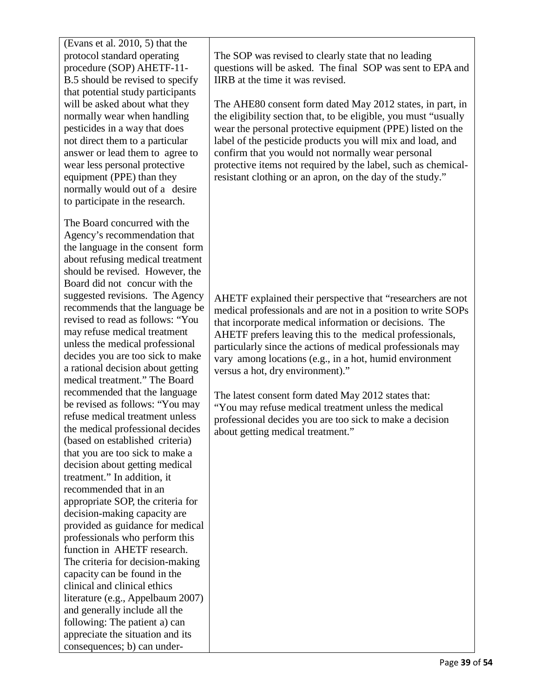(Evans et al. 2010, 5) that the protocol standard operating procedure (SOP) AHETF-11- B.5 should be revised to specify that potential study participants will be asked about what they normally wear when handling pesticides in a way that does not direct them to a particular answer or lead them to agree to wear less personal protective equipment (PPE) than they normally would out of a desire to participate in the research.

The Board concurred with the Agency's recommendation that the language in the consent form about refusing medical treatment should be revised. However, the Board did not concur with the suggested revisions. The Agency recommends that the language be revised to read as follows: "You may refuse medical treatment unless the medical professional decides you are too sick to make a rational decision about getting medical treatment." The Board recommended that the language be revised as follows: "You may refuse medical treatment unless the medical professional decides (based on established criteria) that you are too sick to make a decision about getting medical treatment." In addition, it recommended that in an appropriate SOP, the criteria for decision-making capacity are provided as guidance for medical professionals who perform this function in AHETF research. The criteria for decision-making capacity can be found in the clinical and clinical ethics literature (e.g., Appelbaum 2007) and generally include all the following: The patient a) can appreciate the situation and its consequences; b) can underThe SOP was revised to clearly state that no leading questions will be asked. The final SOP was sent to EPA and IIRB at the time it was revised.

The AHE80 consent form dated May 2012 states, in part, in the eligibility section that, to be eligible, you must "usually wear the personal protective equipment (PPE) listed on the label of the pesticide products you will mix and load, and confirm that you would not normally wear personal protective items not required by the label, such as chemicalresistant clothing or an apron, on the day of the study."

AHETF explained their perspective that "researchers are not medical professionals and are not in a position to write SOPs that incorporate medical information or decisions. The AHETF prefers leaving this to the medical professionals, particularly since the actions of medical professionals may vary among locations (e.g., in a hot, humid environment versus a hot, dry environment)."

The latest consent form dated May 2012 states that: "You may refuse medical treatment unless the medical professional decides you are too sick to make a decision about getting medical treatment."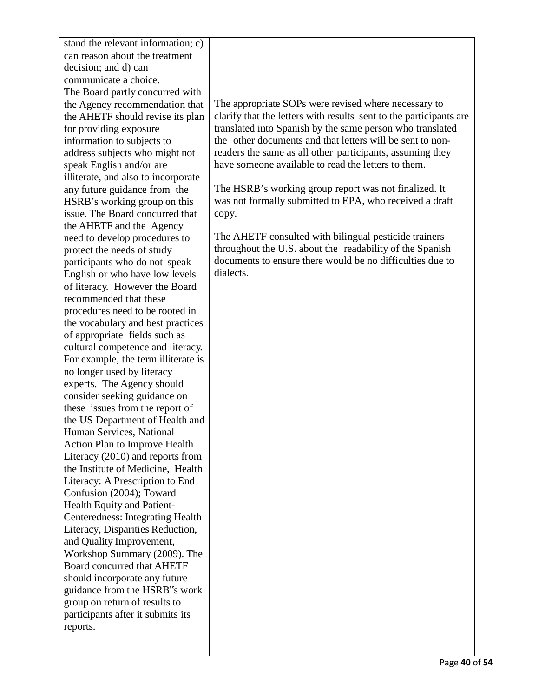| stand the relevant information; c)      |                                                                    |
|-----------------------------------------|--------------------------------------------------------------------|
| can reason about the treatment          |                                                                    |
| decision; and d) can                    |                                                                    |
| communicate a choice.                   |                                                                    |
| The Board partly concurred with         |                                                                    |
| the Agency recommendation that          | The appropriate SOPs were revised where necessary to               |
| the AHETF should revise its plan        | clarify that the letters with results sent to the participants are |
| for providing exposure                  | translated into Spanish by the same person who translated          |
| information to subjects to              | the other documents and that letters will be sent to non-          |
| address subjects who might not          | readers the same as all other participants, assuming they          |
| speak English and/or are                | have someone available to read the letters to them.                |
| illiterate, and also to incorporate     |                                                                    |
| any future guidance from the            | The HSRB's working group report was not finalized. It              |
| HSRB's working group on this            | was not formally submitted to EPA, who received a draft            |
| issue. The Board concurred that         | copy.                                                              |
| the AHETF and the Agency                |                                                                    |
| need to develop procedures to           | The AHETF consulted with bilingual pesticide trainers              |
| protect the needs of study              | throughout the U.S. about the readability of the Spanish           |
| participants who do not speak           | documents to ensure there would be no difficulties due to          |
| English or who have low levels          | dialects.                                                          |
| of literacy. However the Board          |                                                                    |
| recommended that these                  |                                                                    |
| procedures need to be rooted in         |                                                                    |
| the vocabulary and best practices       |                                                                    |
| of appropriate fields such as           |                                                                    |
| cultural competence and literacy.       |                                                                    |
| For example, the term illiterate is     |                                                                    |
| no longer used by literacy              |                                                                    |
| experts. The Agency should              |                                                                    |
| consider seeking guidance on            |                                                                    |
| these issues from the report of         |                                                                    |
| the US Department of Health and         |                                                                    |
| Human Services, National                |                                                                    |
| <b>Action Plan to Improve Health</b>    |                                                                    |
| Literacy (2010) and reports from        |                                                                    |
| the Institute of Medicine, Health       |                                                                    |
| Literacy: A Prescription to End         |                                                                    |
| Confusion (2004); Toward                |                                                                    |
| Health Equity and Patient-              |                                                                    |
| <b>Centeredness: Integrating Health</b> |                                                                    |
| Literacy, Disparities Reduction,        |                                                                    |
| and Quality Improvement,                |                                                                    |
| Workshop Summary (2009). The            |                                                                    |
| <b>Board concurred that AHETF</b>       |                                                                    |
| should incorporate any future           |                                                                    |
| guidance from the HSRB"s work           |                                                                    |
| group on return of results to           |                                                                    |
| participants after it submits its       |                                                                    |
| reports.                                |                                                                    |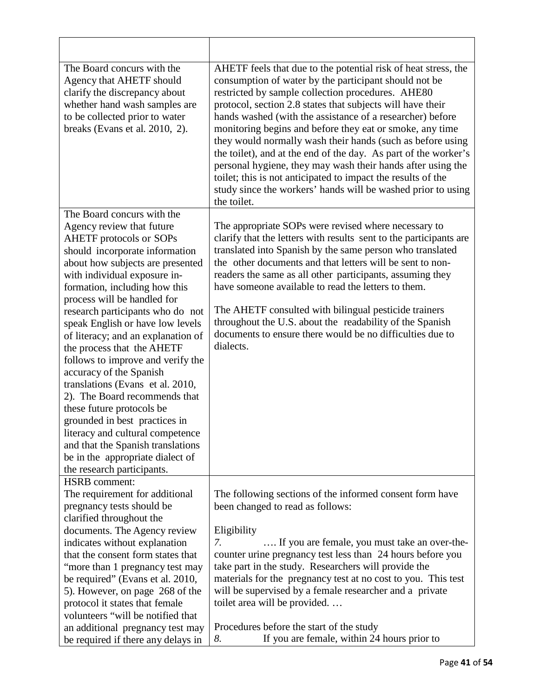| AHETF feels that due to the potential risk of heat stress, the<br>consumption of water by the participant should not be<br>restricted by sample collection procedures. AHE80<br>protocol, section 2.8 states that subjects will have their<br>hands washed (with the assistance of a researcher) before<br>monitoring begins and before they eat or smoke, any time<br>they would normally wash their hands (such as before using<br>the toilet), and at the end of the day. As part of the worker's<br>personal hygiene, they may wash their hands after using the<br>toilet; this is not anticipated to impact the results of the |
|-------------------------------------------------------------------------------------------------------------------------------------------------------------------------------------------------------------------------------------------------------------------------------------------------------------------------------------------------------------------------------------------------------------------------------------------------------------------------------------------------------------------------------------------------------------------------------------------------------------------------------------|
| study since the workers' hands will be washed prior to using<br>the toilet.                                                                                                                                                                                                                                                                                                                                                                                                                                                                                                                                                         |
| The appropriate SOPs were revised where necessary to<br>clarify that the letters with results sent to the participants are<br>translated into Spanish by the same person who translated<br>the other documents and that letters will be sent to non-<br>readers the same as all other participants, assuming they<br>have someone available to read the letters to them.<br>The AHETF consulted with bilingual pesticide trainers<br>throughout the U.S. about the readability of the Spanish<br>documents to ensure there would be no difficulties due to<br>dialects.                                                             |
| The following sections of the informed consent form have<br>been changed to read as follows:<br>Eligibility<br>If you are female, you must take an over-the-<br>7.<br>counter urine pregnancy test less than 24 hours before you<br>take part in the study. Researchers will provide the<br>materials for the pregnancy test at no cost to you. This test<br>will be supervised by a female researcher and a private<br>toilet area will be provided<br>Procedures before the start of the study<br>If you are female, within 24 hours prior to                                                                                     |
| 8.                                                                                                                                                                                                                                                                                                                                                                                                                                                                                                                                                                                                                                  |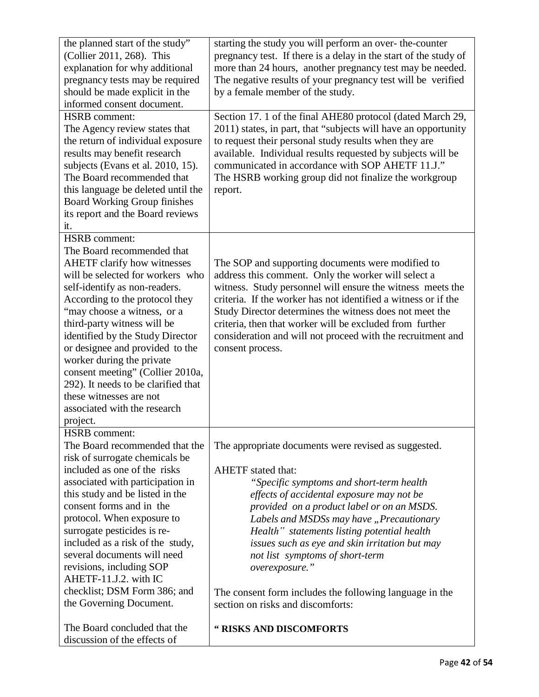| the planned start of the study"     | starting the study you will perform an over-the-counter          |
|-------------------------------------|------------------------------------------------------------------|
| (Collier 2011, 268). This           | pregnancy test. If there is a delay in the start of the study of |
| explanation for why additional      | more than 24 hours, another pregnancy test may be needed.        |
| pregnancy tests may be required     | The negative results of your pregnancy test will be verified     |
| should be made explicit in the      | by a female member of the study.                                 |
| informed consent document.          |                                                                  |
| <b>HSRB</b> comment:                | Section 17. 1 of the final AHE80 protocol (dated March 29,       |
| The Agency review states that       | 2011) states, in part, that "subjects will have an opportunity   |
| the return of individual exposure   | to request their personal study results when they are            |
| results may benefit research        | available. Individual results requested by subjects will be      |
| subjects (Evans et al. 2010, 15).   | communicated in accordance with SOP AHETF 11.J."                 |
| The Board recommended that          | The HSRB working group did not finalize the workgroup            |
| this language be deleted until the  | report.                                                          |
| Board Working Group finishes        |                                                                  |
| its report and the Board reviews    |                                                                  |
| it.                                 |                                                                  |
| <b>HSRB</b> comment:                |                                                                  |
| The Board recommended that          |                                                                  |
| <b>AHETF</b> clarify how witnesses  | The SOP and supporting documents were modified to                |
| will be selected for workers who    | address this comment. Only the worker will select a              |
| self-identify as non-readers.       | witness. Study personnel will ensure the witness meets the       |
| According to the protocol they      | criteria. If the worker has not identified a witness or if the   |
| "may choose a witness, or a         | Study Director determines the witness does not meet the          |
| third-party witness will be         | criteria, then that worker will be excluded from further         |
| identified by the Study Director    | consideration and will not proceed with the recruitment and      |
| or designee and provided to the     | consent process.                                                 |
| worker during the private           |                                                                  |
| consent meeting" (Collier 2010a,    |                                                                  |
| 292). It needs to be clarified that |                                                                  |
| these witnesses are not             |                                                                  |
| associated with the research        |                                                                  |
| project.                            |                                                                  |
| <b>HSRB</b> comment:                |                                                                  |
| The Board recommended that the      | The appropriate documents were revised as suggested.             |
| risk of surrogate chemicals be      |                                                                  |
| included as one of the risks        | <b>AHETF</b> stated that:                                        |
| associated with participation in    | "Specific symptoms and short-term health                         |
| this study and be listed in the     | effects of accidental exposure may not be                        |
| consent forms and in the            | provided on a product label or on an MSDS.                       |
| protocol. When exposure to          | Labels and MSDSs may have "Precautionary                         |
| surrogate pesticides is re-         | Health" statements listing potential health                      |
| included as a risk of the study,    | issues such as eye and skin irritation but may                   |
| several documents will need         | not list symptoms of short-term                                  |
| revisions, including SOP            | overexposure."                                                   |
| AHETF-11.J.2. with IC               |                                                                  |
| checklist; DSM Form 386; and        | The consent form includes the following language in the          |
| the Governing Document.             | section on risks and discomforts:                                |
|                                     |                                                                  |
| The Board concluded that the        | " RISKS AND DISCOMFORTS                                          |
| discussion of the effects of        |                                                                  |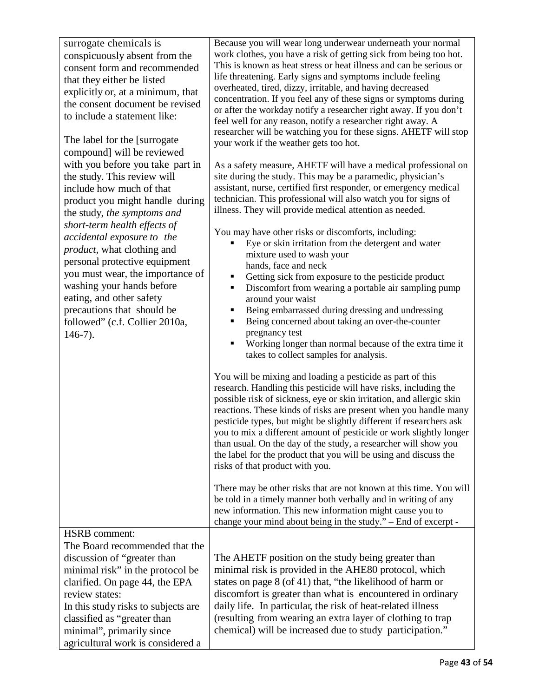| surrogate chemicals is<br>conspicuously absent from the<br>consent form and recommended<br>that they either be listed<br>explicitly or, at a minimum, that<br>the consent document be revised<br>to include a statement like:<br>The label for the [surrogate]<br>compound] will be reviewed<br>with you before you take part in<br>the study. This review will<br>include how much of that<br>product you might handle during<br>the study, the symptoms and<br>short-term health effects of<br>accidental exposure to the<br><i>product</i> , what clothing and<br>personal protective equipment<br>you must wear, the importance of<br>washing your hands before<br>eating, and other safety<br>precautions that should be<br>followed" (c.f. Collier 2010a,<br>$146-7$ ). | Because you will wear long underwear underneath your normal<br>work clothes, you have a risk of getting sick from being too hot.<br>This is known as heat stress or heat illness and can be serious or<br>life threatening. Early signs and symptoms include feeling<br>overheated, tired, dizzy, irritable, and having decreased<br>concentration. If you feel any of these signs or symptoms during<br>or after the workday notify a researcher right away. If you don't<br>feel well for any reason, notify a researcher right away. A<br>researcher will be watching you for these signs. AHETF will stop<br>your work if the weather gets too hot.<br>As a safety measure, AHETF will have a medical professional on<br>site during the study. This may be a paramedic, physician's<br>assistant, nurse, certified first responder, or emergency medical<br>technician. This professional will also watch you for signs of<br>illness. They will provide medical attention as needed.<br>You may have other risks or discomforts, including:<br>Eye or skin irritation from the detergent and water<br>mixture used to wash your<br>hands, face and neck<br>Getting sick from exposure to the pesticide product<br>٠<br>Discomfort from wearing a portable air sampling pump<br>٠<br>around your waist<br>Being embarrassed during dressing and undressing<br>Being concerned about taking an over-the-counter<br>٠<br>pregnancy test<br>Working longer than normal because of the extra time it<br>takes to collect samples for analysis.<br>You will be mixing and loading a pesticide as part of this<br>research. Handling this pesticide will have risks, including the<br>possible risk of sickness, eye or skin irritation, and allergic skin<br>reactions. These kinds of risks are present when you handle many<br>pesticide types, but might be slightly different if researchers ask<br>you to mix a different amount of pesticide or work slightly longer<br>than usual. On the day of the study, a researcher will show you<br>the label for the product that you will be using and discuss the<br>risks of that product with you.<br>There may be other risks that are not known at this time. You will |
|-------------------------------------------------------------------------------------------------------------------------------------------------------------------------------------------------------------------------------------------------------------------------------------------------------------------------------------------------------------------------------------------------------------------------------------------------------------------------------------------------------------------------------------------------------------------------------------------------------------------------------------------------------------------------------------------------------------------------------------------------------------------------------|----------------------------------------------------------------------------------------------------------------------------------------------------------------------------------------------------------------------------------------------------------------------------------------------------------------------------------------------------------------------------------------------------------------------------------------------------------------------------------------------------------------------------------------------------------------------------------------------------------------------------------------------------------------------------------------------------------------------------------------------------------------------------------------------------------------------------------------------------------------------------------------------------------------------------------------------------------------------------------------------------------------------------------------------------------------------------------------------------------------------------------------------------------------------------------------------------------------------------------------------------------------------------------------------------------------------------------------------------------------------------------------------------------------------------------------------------------------------------------------------------------------------------------------------------------------------------------------------------------------------------------------------------------------------------------------------------------------------------------------------------------------------------------------------------------------------------------------------------------------------------------------------------------------------------------------------------------------------------------------------------------------------------------------------------------------------------------------------------------------------------------------------------------------------------------------------------------------------------|
|                                                                                                                                                                                                                                                                                                                                                                                                                                                                                                                                                                                                                                                                                                                                                                               | be told in a timely manner both verbally and in writing of any<br>new information. This new information might cause you to<br>change your mind about being in the study." - End of excerpt -                                                                                                                                                                                                                                                                                                                                                                                                                                                                                                                                                                                                                                                                                                                                                                                                                                                                                                                                                                                                                                                                                                                                                                                                                                                                                                                                                                                                                                                                                                                                                                                                                                                                                                                                                                                                                                                                                                                                                                                                                               |
| <b>HSRB</b> comment:                                                                                                                                                                                                                                                                                                                                                                                                                                                                                                                                                                                                                                                                                                                                                          |                                                                                                                                                                                                                                                                                                                                                                                                                                                                                                                                                                                                                                                                                                                                                                                                                                                                                                                                                                                                                                                                                                                                                                                                                                                                                                                                                                                                                                                                                                                                                                                                                                                                                                                                                                                                                                                                                                                                                                                                                                                                                                                                                                                                                            |
| The Board recommended that the<br>discussion of "greater than<br>minimal risk" in the protocol be<br>clarified. On page 44, the EPA<br>review states:<br>In this study risks to subjects are<br>classified as "greater than<br>minimal", primarily since<br>agricultural work is considered a                                                                                                                                                                                                                                                                                                                                                                                                                                                                                 | The AHETF position on the study being greater than<br>minimal risk is provided in the AHE80 protocol, which<br>states on page 8 (of 41) that, "the likelihood of harm or<br>discomfort is greater than what is encountered in ordinary<br>daily life. In particular, the risk of heat-related illness<br>(resulting from wearing an extra layer of clothing to trap<br>chemical) will be increased due to study participation."                                                                                                                                                                                                                                                                                                                                                                                                                                                                                                                                                                                                                                                                                                                                                                                                                                                                                                                                                                                                                                                                                                                                                                                                                                                                                                                                                                                                                                                                                                                                                                                                                                                                                                                                                                                            |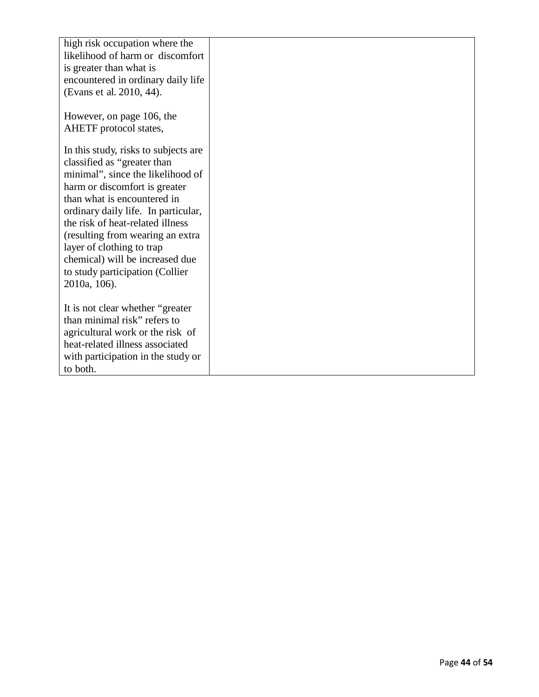| high risk occupation where the<br>likelihood of harm or discomfort<br>is greater than what is<br>encountered in ordinary daily life<br>(Evans et al. 2010, 44).                                                                                                                                                                                                                                            |  |
|------------------------------------------------------------------------------------------------------------------------------------------------------------------------------------------------------------------------------------------------------------------------------------------------------------------------------------------------------------------------------------------------------------|--|
| However, on page 106, the                                                                                                                                                                                                                                                                                                                                                                                  |  |
| AHETF protocol states,                                                                                                                                                                                                                                                                                                                                                                                     |  |
| In this study, risks to subjects are<br>classified as "greater than<br>minimal", since the likelihood of<br>harm or discomfort is greater<br>than what is encountered in<br>ordinary daily life. In particular,<br>the risk of heat-related illness<br>(resulting from wearing an extra<br>layer of clothing to trap<br>chemical) will be increased due<br>to study participation (Collier<br>2010a, 106). |  |
| It is not clear whether "greater"<br>than minimal risk" refers to                                                                                                                                                                                                                                                                                                                                          |  |
| agricultural work or the risk of                                                                                                                                                                                                                                                                                                                                                                           |  |
| heat-related illness associated                                                                                                                                                                                                                                                                                                                                                                            |  |
| with participation in the study or                                                                                                                                                                                                                                                                                                                                                                         |  |
| to both.                                                                                                                                                                                                                                                                                                                                                                                                   |  |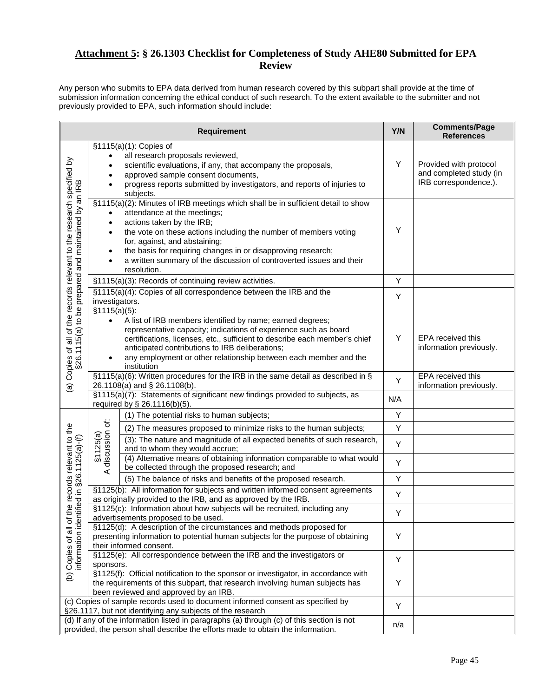#### **Attachment 5: § 26.1303 Checklist for Completeness of Study AHE80 Submitted for EPA Review**

Any person who submits to EPA data derived from human research covered by this subpart shall provide at the time of submission information concerning the ethical conduct of such research. To the extent available to the submitter and not previously provided to EPA, such information should include:

|                                                                                                                               |                                        | <b>Requirement</b>                                                                                                                                                                                                                                                                                                                                                                                       | Y/N | <b>Comments/Page</b><br><b>References</b>                                  |
|-------------------------------------------------------------------------------------------------------------------------------|----------------------------------------|----------------------------------------------------------------------------------------------------------------------------------------------------------------------------------------------------------------------------------------------------------------------------------------------------------------------------------------------------------------------------------------------------------|-----|----------------------------------------------------------------------------|
|                                                                                                                               | $\bullet$                              | $$1115(a)(1)$ : Copies of<br>all research proposals reviewed,<br>scientific evaluations, if any, that accompany the proposals,<br>approved sample consent documents,<br>progress reports submitted by investigators, and reports of injuries to<br>subjects.                                                                                                                                             | Υ   | Provided with protocol<br>and completed study (in<br>IRB correspondence.). |
| (a) Copies of all of the records relevant to the research specified by<br>§26.1115(a) to be prepared and maintained by an IRB | $\bullet$<br>$\bullet$<br>$\bullet$    | §1115(a)(2): Minutes of IRB meetings which shall be in sufficient detail to show<br>attendance at the meetings;<br>actions taken by the IRB;<br>the vote on these actions including the number of members voting<br>for, against, and abstaining;<br>the basis for requiring changes in or disapproving research;<br>a written summary of the discussion of controverted issues and their<br>resolution. | Y   |                                                                            |
|                                                                                                                               |                                        | §1115(a)(3): Records of continuing review activities.                                                                                                                                                                                                                                                                                                                                                    | Υ   |                                                                            |
|                                                                                                                               | investigators.                         | §1115(a)(4): Copies of all correspondence between the IRB and the                                                                                                                                                                                                                                                                                                                                        | Υ   |                                                                            |
|                                                                                                                               | §1115(a)(5):<br>$\bullet$<br>$\bullet$ | A list of IRB members identified by name; earned degrees;<br>representative capacity; indications of experience such as board<br>certifications, licenses, etc., sufficient to describe each member's chief<br>anticipated contributions to IRB deliberations;<br>any employment or other relationship between each member and the<br>institution                                                        | Υ   | EPA received this<br>information previously.                               |
|                                                                                                                               |                                        | §1115(a)(6): Written procedures for the IRB in the same detail as described in §<br>26.1108(a) and § 26.1108(b).                                                                                                                                                                                                                                                                                         | Y   | EPA received this<br>information previously.                               |
|                                                                                                                               |                                        | §1115(a)(7): Statements of significant new findings provided to subjects, as<br>required by § 26.1116(b)(5).                                                                                                                                                                                                                                                                                             | N/A |                                                                            |
|                                                                                                                               |                                        | (1) The potential risks to human subjects;                                                                                                                                                                                                                                                                                                                                                               | Υ   |                                                                            |
|                                                                                                                               |                                        | (2) The measures proposed to minimize risks to the human subjects;                                                                                                                                                                                                                                                                                                                                       | Υ   |                                                                            |
| the records relevant to the<br>tified in §26.1125(a)-(f)                                                                      | §1125(a)<br>A discussion of:           | (3): The nature and magnitude of all expected benefits of such research,<br>and to whom they would accrue;                                                                                                                                                                                                                                                                                               | Υ   |                                                                            |
|                                                                                                                               |                                        | (4) Alternative means of obtaining information comparable to what would<br>be collected through the proposed research; and                                                                                                                                                                                                                                                                               | Υ   |                                                                            |
|                                                                                                                               |                                        | (5) The balance of risks and benefits of the proposed research.                                                                                                                                                                                                                                                                                                                                          | Υ   |                                                                            |
|                                                                                                                               |                                        | §1125(b): All information for subjects and written informed consent agreements<br>as originally provided to the IRB, and as approved by the IRB.                                                                                                                                                                                                                                                         | Υ   |                                                                            |
|                                                                                                                               |                                        | §1125(c): Information about how subjects will be recruited, including any<br>advertisements proposed to be used.                                                                                                                                                                                                                                                                                         | Υ   |                                                                            |
| Copies of all of t                                                                                                            |                                        | §1125(d): A description of the circumstances and methods proposed for<br>presenting information to potential human subjects for the purpose of obtaining<br>their informed consent.                                                                                                                                                                                                                      | Y   |                                                                            |
|                                                                                                                               | sponsors.                              | §1125(e): All correspondence between the IRB and the investigators or                                                                                                                                                                                                                                                                                                                                    | Y   |                                                                            |
| $\widehat{e}$                                                                                                                 |                                        | §1125(f): Official notification to the sponsor or investigator, in accordance with<br>the requirements of this subpart, that research involving human subjects has<br>been reviewed and approved by an IRB.                                                                                                                                                                                              | Y   |                                                                            |
|                                                                                                                               |                                        | (c) Copies of sample records used to document informed consent as specified by<br>§26.1117, but not identifying any subjects of the research                                                                                                                                                                                                                                                             | Υ   |                                                                            |
|                                                                                                                               |                                        | (d) If any of the information listed in paragraphs (a) through (c) of this section is not<br>provided, the person shall describe the efforts made to obtain the information.                                                                                                                                                                                                                             | n/a |                                                                            |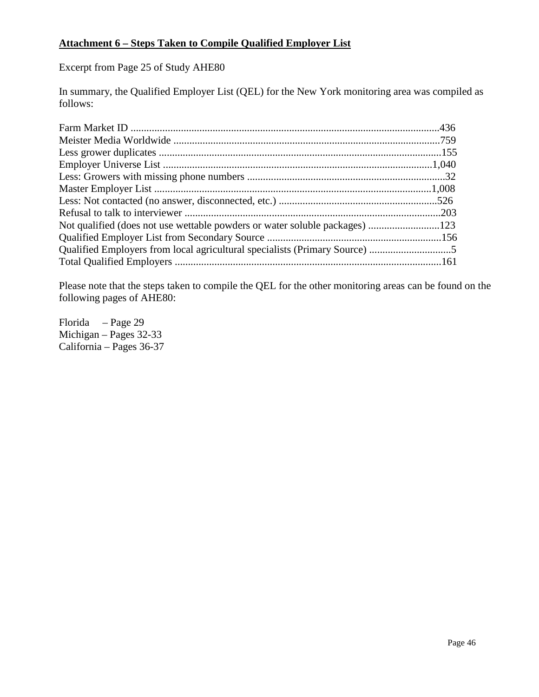#### **Attachment 6 – Steps Taken to Compile Qualified Employer List**

Excerpt from Page 25 of Study AHE80

In summary, the Qualified Employer List (QEL) for the New York monitoring area was compiled as follows:

| Not qualified (does not use wettable powders or water soluble packages) 123 |  |
|-----------------------------------------------------------------------------|--|
|                                                                             |  |
|                                                                             |  |
|                                                                             |  |

Please note that the steps taken to compile the QEL for the other monitoring areas can be found on the following pages of AHE80:

Florida – Page 29 Michigan – Pages 32-33 California – Pages 36-37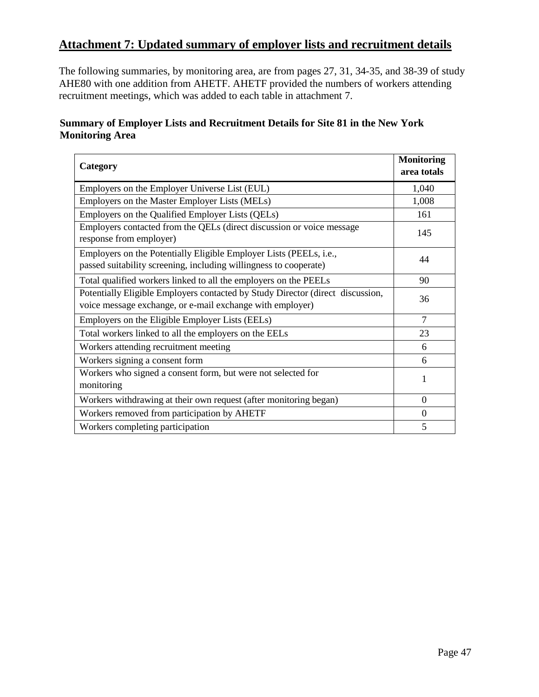# **Attachment 7: Updated summary of employer lists and recruitment details**

The following summaries, by monitoring area, are from pages 27, 31, 34-35, and 38-39 of study AHE80 with one addition from AHETF. AHETF provided the numbers of workers attending recruitment meetings, which was added to each table in attachment 7.

### **Summary of Employer Lists and Recruitment Details for Site 81 in the New York Monitoring Area**

| Category                                                                                                                                        | <b>Monitoring</b><br>area totals |
|-------------------------------------------------------------------------------------------------------------------------------------------------|----------------------------------|
| Employers on the Employer Universe List (EUL)                                                                                                   | 1,040                            |
| Employers on the Master Employer Lists (MELs)                                                                                                   | 1,008                            |
| Employers on the Qualified Employer Lists (QELs)                                                                                                | 161                              |
| Employers contacted from the QELs (direct discussion or voice message<br>response from employer)                                                | 145                              |
| Employers on the Potentially Eligible Employer Lists (PEELs, <i>i.e.</i> ,<br>passed suitability screening, including willingness to cooperate) | 44                               |
| Total qualified workers linked to all the employers on the PEELs                                                                                | 90                               |
| Potentially Eligible Employers contacted by Study Director (direct discussion,<br>voice message exchange, or e-mail exchange with employer)     | 36                               |
| Employers on the Eligible Employer Lists (EELs)                                                                                                 | $\overline{7}$                   |
| Total workers linked to all the employers on the EELs                                                                                           | 23                               |
| Workers attending recruitment meeting                                                                                                           | 6                                |
| Workers signing a consent form                                                                                                                  | 6                                |
| Workers who signed a consent form, but were not selected for<br>monitoring                                                                      | 1                                |
| Workers withdrawing at their own request (after monitoring began)                                                                               | $\Omega$                         |
| Workers removed from participation by AHETF                                                                                                     | $\overline{0}$                   |
| Workers completing participation                                                                                                                | 5                                |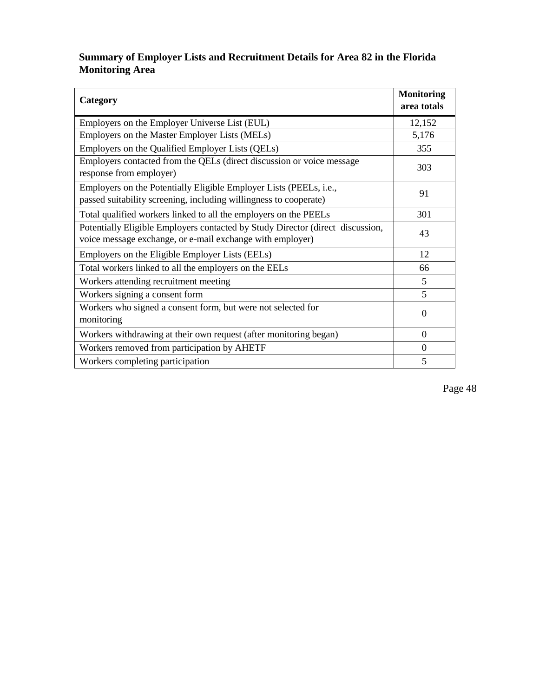# **Summary of Employer Lists and Recruitment Details for Area 82 in the Florida Monitoring Area**

| Category                                                                                                                                        | <b>Monitoring</b><br>area totals |
|-------------------------------------------------------------------------------------------------------------------------------------------------|----------------------------------|
| Employers on the Employer Universe List (EUL)                                                                                                   | 12,152                           |
| Employers on the Master Employer Lists (MELs)                                                                                                   | 5,176                            |
| Employers on the Qualified Employer Lists (QELs)                                                                                                | 355                              |
| Employers contacted from the QELs (direct discussion or voice message<br>response from employer)                                                | 303                              |
| Employers on the Potentially Eligible Employer Lists (PEELs, <i>i.e.</i> ,<br>passed suitability screening, including willingness to cooperate) | 91                               |
| Total qualified workers linked to all the employers on the PEELs                                                                                | 301                              |
| Potentially Eligible Employers contacted by Study Director (direct discussion,<br>voice message exchange, or e-mail exchange with employer)     | 43                               |
| Employers on the Eligible Employer Lists (EELs)                                                                                                 | 12                               |
| Total workers linked to all the employers on the EELs                                                                                           | 66                               |
| Workers attending recruitment meeting                                                                                                           | 5                                |
| Workers signing a consent form                                                                                                                  | 5                                |
| Workers who signed a consent form, but were not selected for<br>monitoring                                                                      | $\Omega$                         |
| Workers withdrawing at their own request (after monitoring began)                                                                               | $\overline{0}$                   |
| Workers removed from participation by AHETF                                                                                                     | $\mathbf{0}$                     |
| Workers completing participation                                                                                                                | 5                                |

Page 48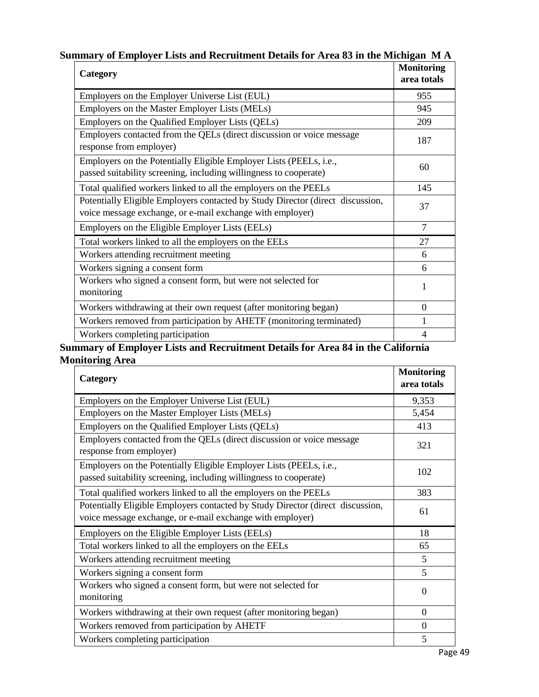| Category                                                                                                                                    | <b>Monitoring</b><br>area totals |
|---------------------------------------------------------------------------------------------------------------------------------------------|----------------------------------|
| Employers on the Employer Universe List (EUL)                                                                                               | 955                              |
| Employers on the Master Employer Lists (MELs)                                                                                               | 945                              |
| Employers on the Qualified Employer Lists (QELs)                                                                                            | 209                              |
| Employers contacted from the QELs (direct discussion or voice message<br>response from employer)                                            | 187                              |
| Employers on the Potentially Eligible Employer Lists (PEELs, i.e.,<br>passed suitability screening, including willingness to cooperate)     | 60                               |
| Total qualified workers linked to all the employers on the PEELs                                                                            | 145                              |
| Potentially Eligible Employers contacted by Study Director (direct discussion,<br>voice message exchange, or e-mail exchange with employer) | 37                               |
| Employers on the Eligible Employer Lists (EELs)                                                                                             | $\tau$                           |
| Total workers linked to all the employers on the EELs                                                                                       | 27                               |
| Workers attending recruitment meeting                                                                                                       | 6                                |
| Workers signing a consent form                                                                                                              | 6                                |
| Workers who signed a consent form, but were not selected for<br>monitoring                                                                  | 1                                |
| Workers withdrawing at their own request (after monitoring began)                                                                           | $\theta$                         |
| Workers removed from participation by AHETF (monitoring terminated)                                                                         |                                  |
| Workers completing participation                                                                                                            | $\overline{4}$                   |

# **Summary of Employer Lists and Recruitment Details for Area 83 in the Michigan M A**

**Summary of Employer Lists and Recruitment Details for Area 84 in the California Monitoring Area**

| Category                                                                                                                                    | <b>Monitoring</b><br>area totals |
|---------------------------------------------------------------------------------------------------------------------------------------------|----------------------------------|
| Employers on the Employer Universe List (EUL)                                                                                               | 9,353                            |
| Employers on the Master Employer Lists (MELs)                                                                                               | 5,454                            |
| Employers on the Qualified Employer Lists (QELs)                                                                                            | 413                              |
| Employers contacted from the QELs (direct discussion or voice message<br>response from employer)                                            | 321                              |
| Employers on the Potentially Eligible Employer Lists (PEELs, i.e.,<br>passed suitability screening, including willingness to cooperate)     | 102                              |
| Total qualified workers linked to all the employers on the PEELs                                                                            | 383                              |
| Potentially Eligible Employers contacted by Study Director (direct discussion,<br>voice message exchange, or e-mail exchange with employer) | 61                               |
| Employers on the Eligible Employer Lists (EELs)                                                                                             | 18                               |
| Total workers linked to all the employers on the EELs                                                                                       | 65                               |
| Workers attending recruitment meeting                                                                                                       | 5                                |
| Workers signing a consent form                                                                                                              | 5                                |
| Workers who signed a consent form, but were not selected for<br>monitoring                                                                  | $\Omega$                         |
| Workers withdrawing at their own request (after monitoring began)                                                                           | $\theta$                         |
| Workers removed from participation by AHETF                                                                                                 | $\overline{0}$                   |
| Workers completing participation                                                                                                            | 5                                |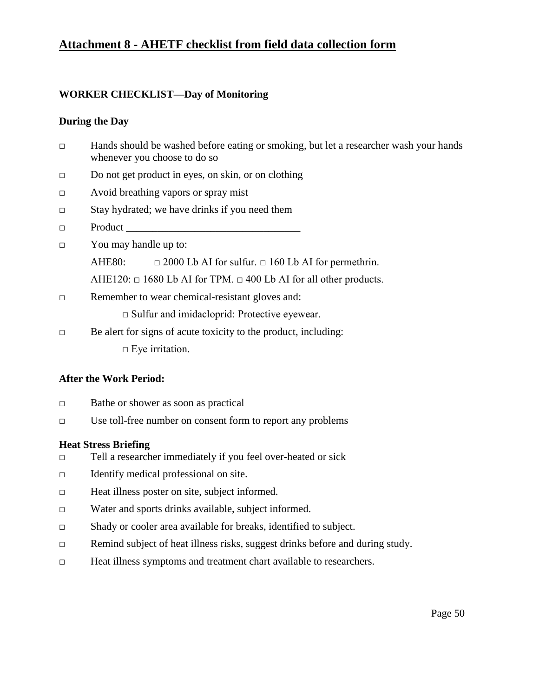# **Attachment 8 - AHETF checklist from field data collection form**

#### **WORKER CHECKLIST—Day of Monitoring**

#### **During the Day**

- □ Hands should be washed before eating or smoking, but let a researcher wash your hands whenever you choose to do so
- □ Do not get product in eyes, on skin, or on clothing
- □ Avoid breathing vapors or spray mist
- □ Stay hydrated; we have drinks if you need them
- $\Box$  Product
- □ You may handle up to:

AHE80:  $\Box$  2000 Lb AI for sulfur.  $\Box$  160 Lb AI for permethrin.

AHE120:  $\Box$  1680 Lb AI for TPM.  $\Box$  400 Lb AI for all other products.

□ Remember to wear chemical-resistant gloves and:

□ Sulfur and imidacloprid: Protective eyewear.

- $\Box$  Be alert for signs of acute toxicity to the product, including:
	- $\square$  Eye irritation.

#### **After the Work Period:**

- □ Bathe or shower as soon as practical
- □ Use toll-free number on consent form to report any problems

#### **Heat Stress Briefing**

- □ Tell a researcher immediately if you feel over-heated or sick
- □ Identify medical professional on site.
- □ Heat illness poster on site, subject informed.
- □ Water and sports drinks available, subject informed.
- □ Shady or cooler area available for breaks, identified to subject.
- □ Remind subject of heat illness risks, suggest drinks before and during study.
- □ Heat illness symptoms and treatment chart available to researchers.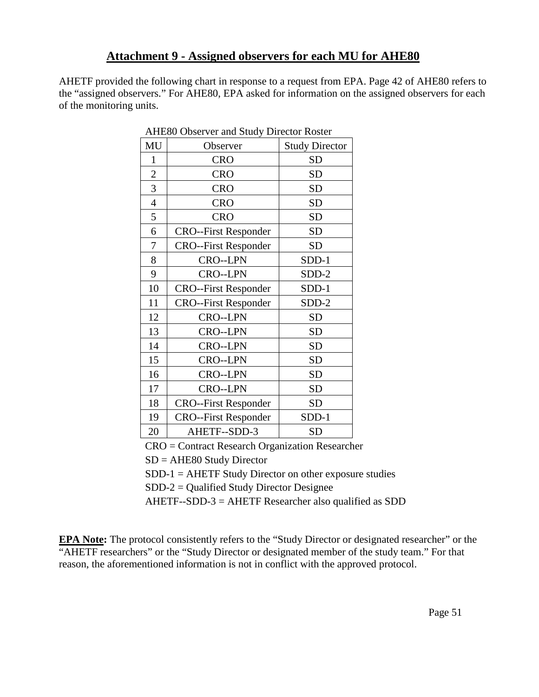# **Attachment 9 - Assigned observers for each MU for AHE80**

AHETF provided the following chart in response to a request from EPA. Page 42 of AHE80 refers to the "assigned observers." For AHE80, EPA asked for information on the assigned observers for each of the monitoring units.

| MU             | ATTLOU ODSCI VEL and DRUGY DITCOUT INOSICI<br>Observer | <b>Study Director</b> |
|----------------|--------------------------------------------------------|-----------------------|
|                |                                                        |                       |
| $\mathbf{1}$   | <b>CRO</b>                                             | <b>SD</b>             |
| $\overline{2}$ | <b>CRO</b>                                             | <b>SD</b>             |
| 3              | <b>CRO</b>                                             | <b>SD</b>             |
| $\overline{4}$ | <b>CRO</b>                                             | <b>SD</b>             |
| 5              | <b>CRO</b>                                             | <b>SD</b>             |
| 6              | <b>CRO--First Responder</b>                            | <b>SD</b>             |
| 7              | <b>CRO--First Responder</b>                            | <b>SD</b>             |
| 8              | CRO--LPN                                               | $SDD-1$               |
| 9              | <b>CRO--LPN</b>                                        | SDD-2                 |
| 10             | <b>CRO--First Responder</b>                            | SDD-1                 |
| 11             | <b>CRO--First Responder</b>                            | SDD-2                 |
| 12             | <b>CRO--LPN</b>                                        | <b>SD</b>             |
| 13             | CRO--LPN                                               | <b>SD</b>             |
| 14             | <b>CRO--LPN</b>                                        | <b>SD</b>             |
| 15             | <b>CRO--LPN</b>                                        | <b>SD</b>             |
| 16             | CRO--LPN                                               | <b>SD</b>             |
| 17             | <b>CRO--LPN</b>                                        | <b>SD</b>             |
| 18             | <b>CRO--First Responder</b>                            | <b>SD</b>             |
| 19             | <b>CRO--First Responder</b>                            | $SDD-1$               |
| 20             | AHETF--SDD-3                                           | <b>SD</b>             |

AHE80 Observer and Study Director Roster

CRO = Contract Research Organization Researcher

SD = AHE80 Study Director

 $SDD-1 = AHETF Study Director on other exposure studies$ 

SDD-2 = Qualified Study Director Designee

AHETF--SDD-3 = AHETF Researcher also qualified as SDD

**EPA Note:** The protocol consistently refers to the "Study Director or designated researcher" or the "AHETF researchers" or the "Study Director or designated member of the study team." For that reason, the aforementioned information is not in conflict with the approved protocol.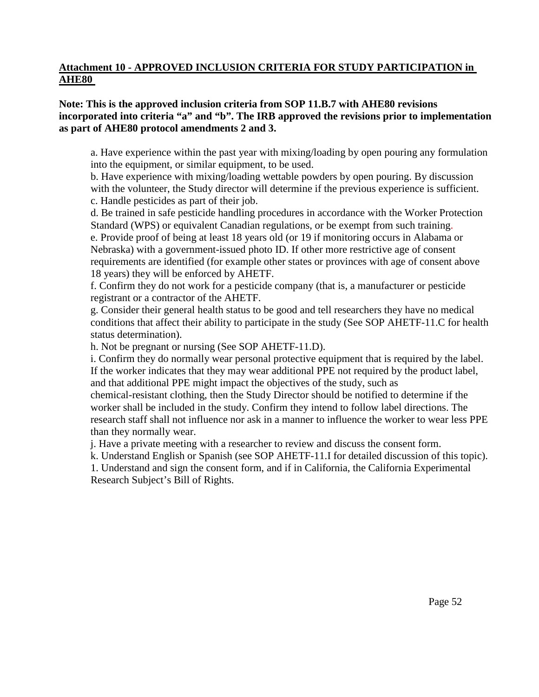#### **Attachment 10 - APPROVED INCLUSION CRITERIA FOR STUDY PARTICIPATION in AHE80**

#### **Note: This is the approved inclusion criteria from SOP 11.B.7 with AHE80 revisions incorporated into criteria "a" and "b". The IRB approved the revisions prior to implementation as part of AHE80 protocol amendments 2 and 3.**

a. Have experience within the past year with mixing/loading by open pouring any formulation into the equipment, or similar equipment, to be used.

b. Have experience with mixing/loading wettable powders by open pouring. By discussion with the volunteer, the Study director will determine if the previous experience is sufficient. c. Handle pesticides as part of their job.

d. Be trained in safe pesticide handling procedures in accordance with the Worker Protection Standard (WPS) or equivalent Canadian regulations, or be exempt from such training. e. Provide proof of being at least 18 years old (or 19 if monitoring occurs in Alabama or Nebraska) with a government-issued photo ID. If other more restrictive age of consent requirements are identified (for example other states or provinces with age of consent above 18 years) they will be enforced by AHETF.

f. Confirm they do not work for a pesticide company (that is, a manufacturer or pesticide registrant or a contractor of the AHETF.

g. Consider their general health status to be good and tell researchers they have no medical conditions that affect their ability to participate in the study (See SOP AHETF-11.C for health status determination).

h. Not be pregnant or nursing (See SOP AHETF-11.D).

i. Confirm they do normally wear personal protective equipment that is required by the label. If the worker indicates that they may wear additional PPE not required by the product label, and that additional PPE might impact the objectives of the study, such as chemical-resistant clothing, then the Study Director should be notified to determine if the worker shall be included in the study. Confirm they intend to follow label directions. The research staff shall not influence nor ask in a manner to influence the worker to wear less PPE than they normally wear.

j. Have a private meeting with a researcher to review and discuss the consent form.

k. Understand English or Spanish (see SOP AHETF-11.I for detailed discussion of this topic).

1. Understand and sign the consent form, and if in California, the California Experimental Research Subject's Bill of Rights.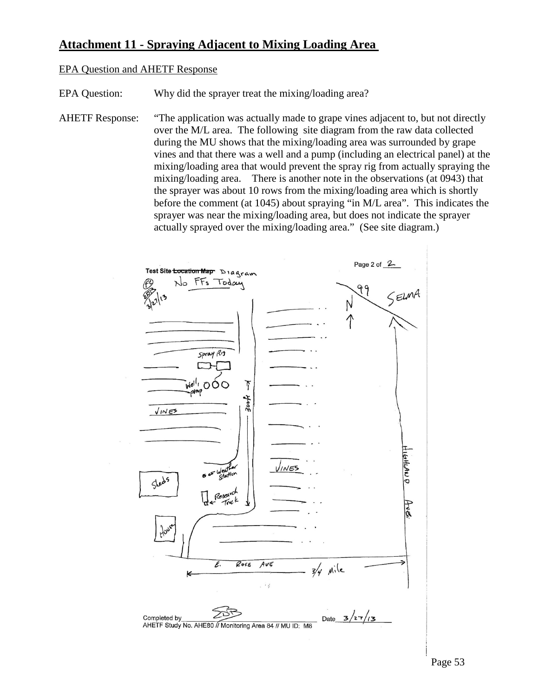# **Attachment 11 - Spraying Adjacent to Mixing Loading Area**

#### EPA Question and AHETF Response

EPA Question: Why did the sprayer treat the mixing/loading area?

AHETF Response: "The application was actually made to grape vines adjacent to, but not directly over the M/L area. The following site diagram from the raw data collected during the MU shows that the mixing/loading area was surrounded by grape vines and that there was a well and a pump (including an electrical panel) at the mixing/loading area that would prevent the spray rig from actually spraying the mixing/loading area. There is another note in the observations (at 0943) that the sprayer was about 10 rows from the mixing/loading area which is shortly before the comment (at 1045) about spraying "in M/L area". This indicates the sprayer was near the mixing/loading area, but does not indicate the sprayer actually sprayed over the mixing/loading area." (See site diagram.)